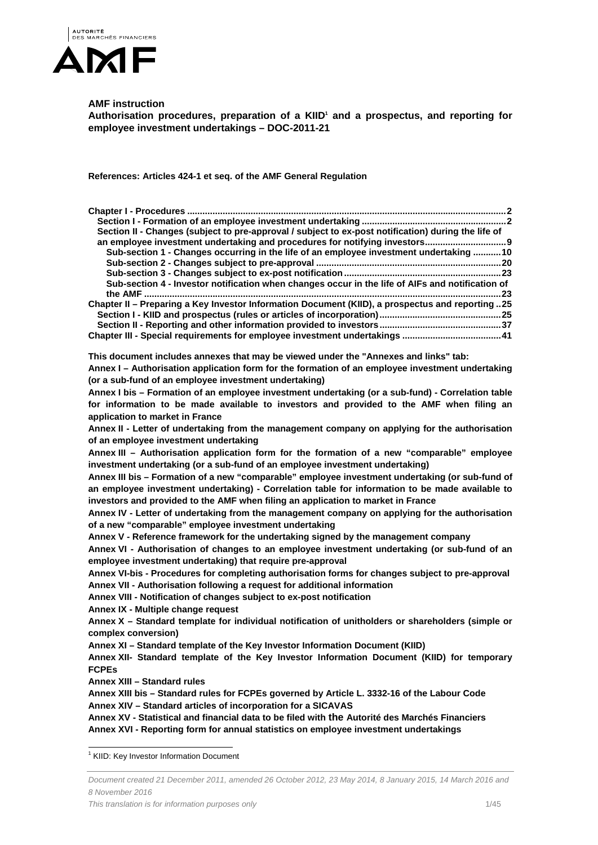

# **AMF instruction**

Authorisation procedures, preparation of a KIID<sup>1</sup> and a prospectus, and reporting for **employee investment undertakings – DOC-2011-21** 

**References: Articles 424-1 et seq. of the AMF General Regulation** 

| Section II - Changes (subject to pre-approval / subject to ex-post notification) during the life of                                                                                                                                                    |
|--------------------------------------------------------------------------------------------------------------------------------------------------------------------------------------------------------------------------------------------------------|
| Sub-section 1 - Changes occurring in the life of an employee investment undertaking 10                                                                                                                                                                 |
| Sub-section 4 - Investor notification when changes occur in the life of AIFs and notification of                                                                                                                                                       |
| Chapter II - Preparing a Key Investor Information Document (KIID), a prospectus and reporting 25                                                                                                                                                       |
| 41 Chapter III - Special requirements for employee investment undertakings  41                                                                                                                                                                         |
| This document includes annexes that may be viewed under the "Annexes and links" tab:                                                                                                                                                                   |
| Annex I - Authorisation application form for the formation of an employee investment undertaking<br>(or a sub-fund of an employee investment undertaking)                                                                                              |
| Annex I bis - Formation of an employee investment undertaking (or a sub-fund) - Correlation table<br>for information to be made available to investors and provided to the AMF when filing an<br>application to market in France                       |
| Annex II - Letter of undertaking from the management company on applying for the authorisation<br>of an employee investment undertaking                                                                                                                |
| Annex III - Authorisation application form for the formation of a new "comparable" employee<br>investment undertaking (or a sub-fund of an employee investment undertaking)                                                                            |
| Annex III bis - Formation of a new "comparable" employee investment undertaking (or sub-fund of<br>an employee investment undertaking) - Correlation table for information to be made available to                                                     |
| investors and provided to the AMF when filing an application to market in France<br>Annex IV - Letter of undertaking from the management company on applying for the authorisation<br>of a new "comparable" employee investment undertaking            |
| Annex V - Reference framework for the undertaking signed by the management company<br>Annex VI - Authorisation of changes to an employee investment undertaking (or sub-fund of an<br>employee investment undertaking) that require pre-approval       |
| Annex VI-bis - Procedures for completing authorisation forms for changes subject to pre-approval<br>Annex VII - Authorisation following a request for additional information                                                                           |
| Annex VIII - Notification of changes subject to ex-post notification<br>Annex IX - Multiple change request                                                                                                                                             |
| Annex X - Standard template for individual notification of unitholders or shareholders (simple or<br>complex conversion)                                                                                                                               |
| Annex XI - Standard template of the Key Investor Information Document (KIID)<br>Annex XII- Standard template of the Key Investor Information Document (KIID) for temporary                                                                             |
| <b>FCPEs</b><br>Annex XIII - Standard rules                                                                                                                                                                                                            |
| Annex XIII bis - Standard rules for FCPEs governed by Article L. 3332-16 of the Labour Code                                                                                                                                                            |
| Annex XIV - Standard articles of incorporation for a SICAVAS<br>Annex XV - Statistical and financial data to be filed with the Autorité des Marchés Financiers<br>Annex XVI - Reporting form for annual statistics on employee investment undertakings |
|                                                                                                                                                                                                                                                        |

1 KIID: Key Investor Information Document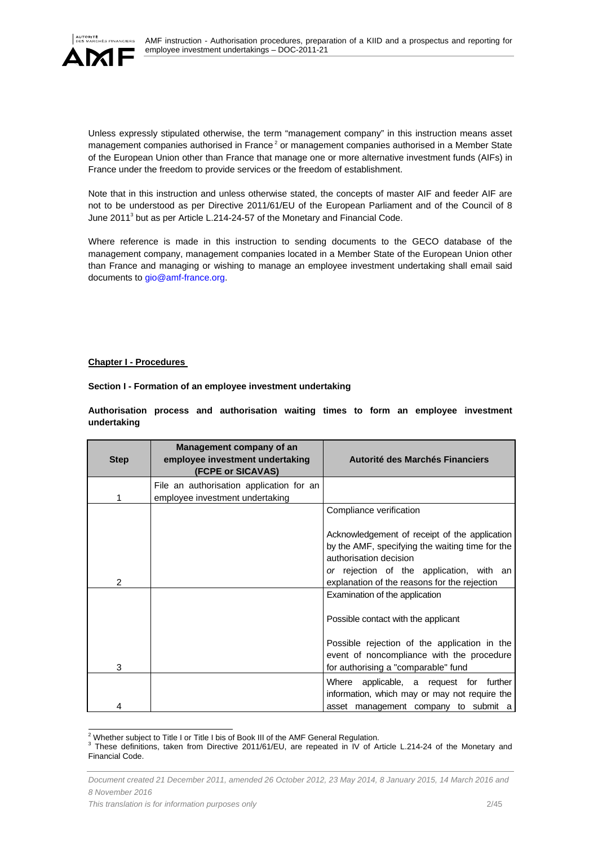

Unless expressly stipulated otherwise, the term "management company" in this instruction means asset management companies authorised in France<sup>2</sup> or management companies authorised in a Member State of the European Union other than France that manage one or more alternative investment funds (AIFs) in France under the freedom to provide services or the freedom of establishment.

Note that in this instruction and unless otherwise stated, the concepts of master AIF and feeder AIF are not to be understood as per Directive 2011/61/EU of the European Parliament and of the Council of 8 June 2011<sup>3</sup> but as per Article L.214-24-57 of the Monetary and Financial Code.

Where reference is made in this instruction to sending documents to the GECO database of the management company, management companies located in a Member State of the European Union other than France and managing or wishing to manage an employee investment undertaking shall email said documents to gio@amf-france.org.

### **Chapter I - Procedures**

**Section I - Formation of an employee investment undertaking** 

**Authorisation process and authorisation waiting times to form an employee investment undertaking** 

| <b>Step</b>   | Management company of an<br>employee investment undertaking<br>(FCPE or SICAVAS) | Autorité des Marchés Financiers                                                                                                  |
|---------------|----------------------------------------------------------------------------------|----------------------------------------------------------------------------------------------------------------------------------|
| 1             | File an authorisation application for an<br>employee investment undertaking      |                                                                                                                                  |
|               |                                                                                  | Compliance verification                                                                                                          |
|               |                                                                                  | Acknowledgement of receipt of the application<br>by the AMF, specifying the waiting time for the<br>authorisation decision       |
| $\mathcal{P}$ |                                                                                  | or rejection of the application, with an<br>explanation of the reasons for the rejection                                         |
|               |                                                                                  | Examination of the application                                                                                                   |
|               |                                                                                  | Possible contact with the applicant                                                                                              |
| 3             |                                                                                  | Possible rejection of the application in the<br>event of noncompliance with the procedure<br>for authorising a "comparable" fund |
|               |                                                                                  | Where applicable, a request for further<br>information, which may or may not require the                                         |
| 4             |                                                                                  | asset management company to submit a                                                                                             |

<sup>&</sup>lt;sup>2</sup><br>Whether subject to Title I or Title I bis of Book III of the AMF General Regulation.<br><sup>3</sup> These definitions, taken from Directive 2011/61/EU, are reported in IV of All

These definitions, taken from Directive 2011/61/EU, are repeated in IV of Article L.214-24 of the Monetary and Financial Code.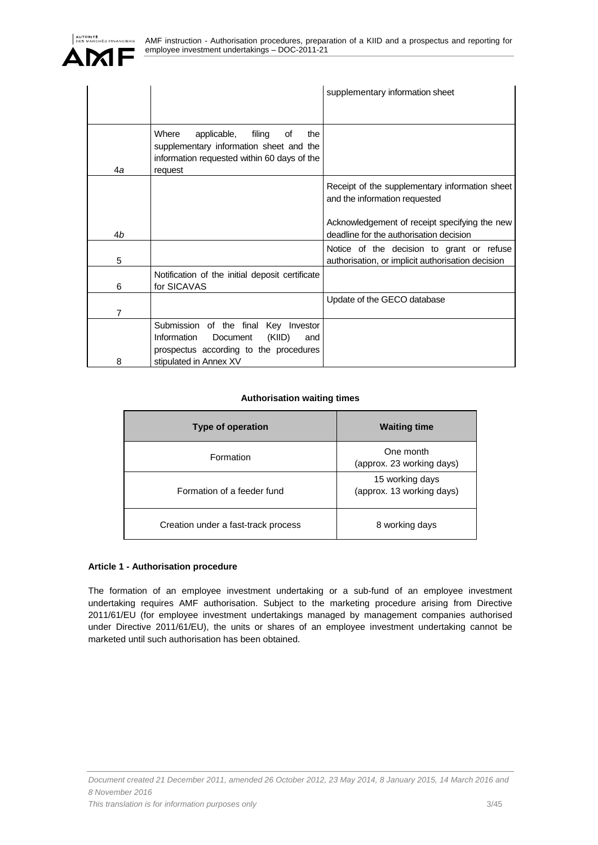|    |                                                                                                                                                      | supplementary information sheet                                                                |
|----|------------------------------------------------------------------------------------------------------------------------------------------------------|------------------------------------------------------------------------------------------------|
|    |                                                                                                                                                      |                                                                                                |
| 4a | filing<br>Where<br>applicable,<br>οf<br>the<br>supplementary information sheet and the<br>information requested within 60 days of the<br>request     |                                                                                                |
|    |                                                                                                                                                      | Receipt of the supplementary information sheet<br>and the information requested                |
| 4b |                                                                                                                                                      | Acknowledgement of receipt specifying the new<br>deadline for the authorisation decision       |
| 5  |                                                                                                                                                      | Notice of the decision to grant or refuse<br>authorisation, or implicit authorisation decision |
| 6  | Notification of the initial deposit certificate<br>for SICAVAS                                                                                       |                                                                                                |
| 7  |                                                                                                                                                      | Update of the GECO database                                                                    |
| 8  | Submission of the final Key Investor<br>Information<br>(KIID)<br>Document<br>and<br>prospectus according to the procedures<br>stipulated in Annex XV |                                                                                                |

# **Authorisation waiting times**

| Type of operation                   | <b>Waiting time</b>                          |
|-------------------------------------|----------------------------------------------|
| Formation                           | One month<br>(approx. 23 working days)       |
| Formation of a feeder fund          | 15 working days<br>(approx. 13 working days) |
| Creation under a fast-track process | 8 working days                               |

# **Article 1 - Authorisation procedure**

The formation of an employee investment undertaking or a sub-fund of an employee investment undertaking requires AMF authorisation. Subject to the marketing procedure arising from Directive 2011/61/EU (for employee investment undertakings managed by management companies authorised under Directive 2011/61/EU), the units or shares of an employee investment undertaking cannot be marketed until such authorisation has been obtained.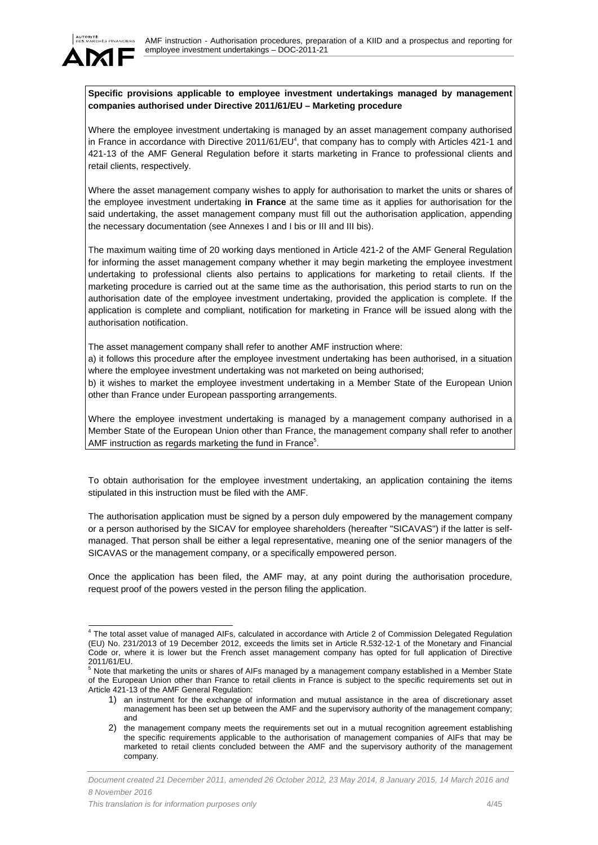

# **Specific provisions applicable to employee investment undertakings managed by management companies authorised under Directive 2011/61/EU – Marketing procedure**

Where the employee investment undertaking is managed by an asset management company authorised in France in accordance with Directive 2011/61/EU<sup>4</sup>, that company has to comply with Articles 421-1 and 421-13 of the AMF General Regulation before it starts marketing in France to professional clients and retail clients, respectively.

Where the asset management company wishes to apply for authorisation to market the units or shares of the employee investment undertaking **in France** at the same time as it applies for authorisation for the said undertaking, the asset management company must fill out the authorisation application, appending the necessary documentation (see Annexes I and I bis or III and III bis).

The maximum waiting time of 20 working days mentioned in Article 421-2 of the AMF General Regulation for informing the asset management company whether it may begin marketing the employee investment undertaking to professional clients also pertains to applications for marketing to retail clients. If the marketing procedure is carried out at the same time as the authorisation, this period starts to run on the authorisation date of the employee investment undertaking, provided the application is complete. If the application is complete and compliant, notification for marketing in France will be issued along with the authorisation notification.

The asset management company shall refer to another AMF instruction where:

a) it follows this procedure after the employee investment undertaking has been authorised, in a situation where the employee investment undertaking was not marketed on being authorised;

b) it wishes to market the employee investment undertaking in a Member State of the European Union other than France under European passporting arrangements.

Where the employee investment undertaking is managed by a management company authorised in a Member State of the European Union other than France, the management company shall refer to another AMF instruction as regards marketing the fund in France<sup>5</sup>.

To obtain authorisation for the employee investment undertaking, an application containing the items stipulated in this instruction must be filed with the AMF.

The authorisation application must be signed by a person duly empowered by the management company or a person authorised by the SICAV for employee shareholders (hereafter "SICAVAS") if the latter is selfmanaged. That person shall be either a legal representative, meaning one of the senior managers of the SICAVAS or the management company, or a specifically empowered person.

Once the application has been filed, the AMF may, at any point during the authorisation procedure, request proof of the powers vested in the person filing the application.

 4 The total asset value of managed AIFs, calculated in accordance with Article 2 of Commission Delegated Regulation (EU) No. 231/2013 of 19 December 2012, exceeds the limits set in Article R.532-12-1 of the Monetary and Financial Code or, where it is lower but the French asset management company has opted for full application of Directive 2011/61/EU.

<sup>5</sup> Note that marketing the units or shares of AIFs managed by a management company established in a Member State of the European Union other than France to retail clients in France is subject to the specific requirements set out in Article 421-13 of the AMF General Regulation:

<sup>1)</sup> an instrument for the exchange of information and mutual assistance in the area of discretionary asset management has been set up between the AMF and the supervisory authority of the management company; and

<sup>2)</sup> the management company meets the requirements set out in a mutual recognition agreement establishing the specific requirements applicable to the authorisation of management companies of AIFs that may be marketed to retail clients concluded between the AMF and the supervisory authority of the management company.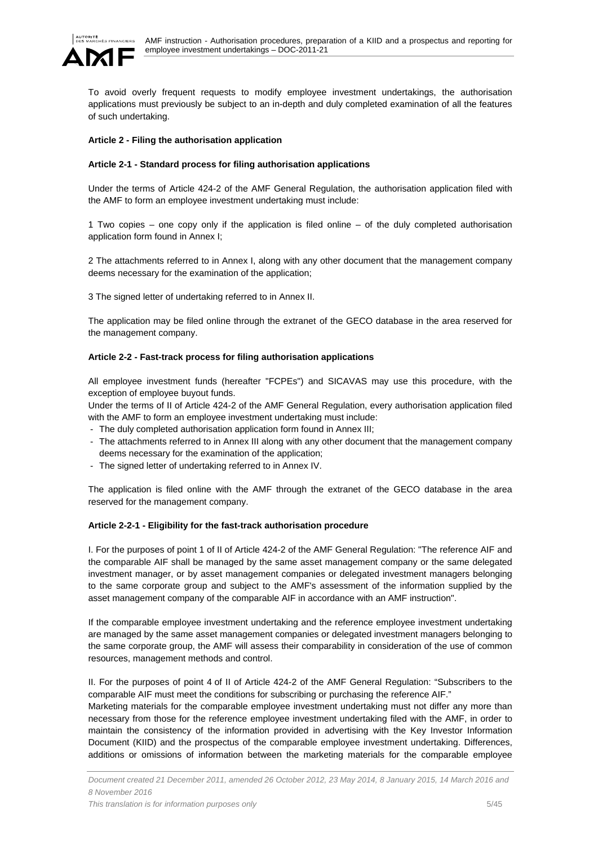

To avoid overly frequent requests to modify employee investment undertakings, the authorisation applications must previously be subject to an in-depth and duly completed examination of all the features of such undertaking.

### **Article 2 - Filing the authorisation application**

### **Article 2-1 - Standard process for filing authorisation applications**

Under the terms of Article 424-2 of the AMF General Regulation, the authorisation application filed with the AMF to form an employee investment undertaking must include:

1 Two copies – one copy only if the application is filed online – of the duly completed authorisation application form found in Annex I;

2 The attachments referred to in Annex I, along with any other document that the management company deems necessary for the examination of the application;

3 The signed letter of undertaking referred to in Annex II.

The application may be filed online through the extranet of the GECO database in the area reserved for the management company.

### **Article 2-2 - Fast-track process for filing authorisation applications**

All employee investment funds (hereafter "FCPEs") and SICAVAS may use this procedure, with the exception of employee buyout funds.

Under the terms of II of Article 424-2 of the AMF General Regulation, every authorisation application filed with the AMF to form an employee investment undertaking must include:

- The duly completed authorisation application form found in Annex III;
- The attachments referred to in Annex III along with any other document that the management company deems necessary for the examination of the application;
- The signed letter of undertaking referred to in Annex IV.

The application is filed online with the AMF through the extranet of the GECO database in the area reserved for the management company.

# **Article 2-2-1 - Eligibility for the fast-track authorisation procedure**

I. For the purposes of point 1 of II of Article 424-2 of the AMF General Regulation: "The reference AIF and the comparable AIF shall be managed by the same asset management company or the same delegated investment manager, or by asset management companies or delegated investment managers belonging to the same corporate group and subject to the AMF's assessment of the information supplied by the asset management company of the comparable AIF in accordance with an AMF instruction".

If the comparable employee investment undertaking and the reference employee investment undertaking are managed by the same asset management companies or delegated investment managers belonging to the same corporate group, the AMF will assess their comparability in consideration of the use of common resources, management methods and control.

II. For the purposes of point 4 of II of Article 424-2 of the AMF General Regulation: "Subscribers to the comparable AIF must meet the conditions for subscribing or purchasing the reference AIF."

Marketing materials for the comparable employee investment undertaking must not differ any more than necessary from those for the reference employee investment undertaking filed with the AMF, in order to maintain the consistency of the information provided in advertising with the Key Investor Information Document (KIID) and the prospectus of the comparable employee investment undertaking. Differences, additions or omissions of information between the marketing materials for the comparable employee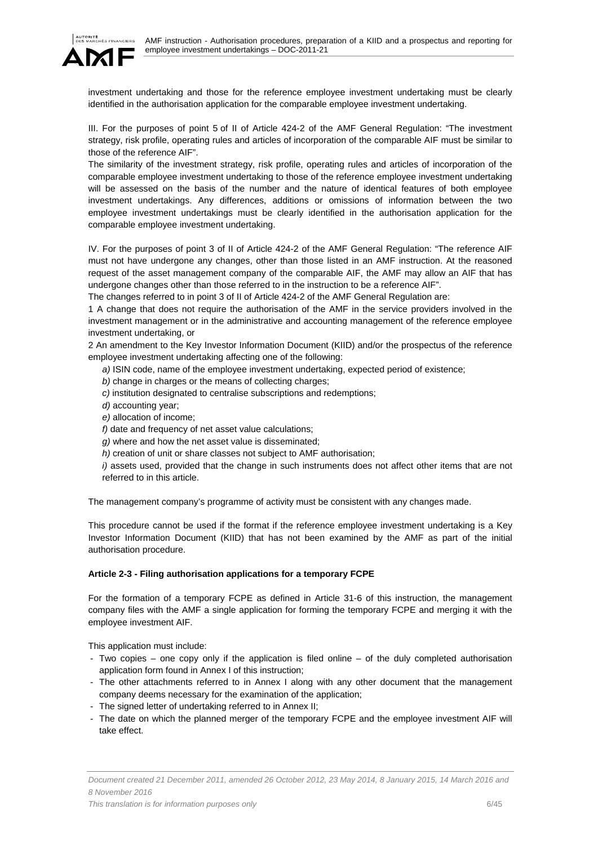

investment undertaking and those for the reference employee investment undertaking must be clearly identified in the authorisation application for the comparable employee investment undertaking.

III. For the purposes of point 5 of II of Article 424-2 of the AMF General Regulation: "The investment strategy, risk profile, operating rules and articles of incorporation of the comparable AIF must be similar to those of the reference AIF".

The similarity of the investment strategy, risk profile, operating rules and articles of incorporation of the comparable employee investment undertaking to those of the reference employee investment undertaking will be assessed on the basis of the number and the nature of identical features of both employee investment undertakings. Any differences, additions or omissions of information between the two employee investment undertakings must be clearly identified in the authorisation application for the comparable employee investment undertaking.

IV. For the purposes of point 3 of II of Article 424-2 of the AMF General Regulation: "The reference AIF must not have undergone any changes, other than those listed in an AMF instruction. At the reasoned request of the asset management company of the comparable AIF, the AMF may allow an AIF that has undergone changes other than those referred to in the instruction to be a reference AIF".

The changes referred to in point 3 of II of Article 424-2 of the AMF General Regulation are:

1 A change that does not require the authorisation of the AMF in the service providers involved in the investment management or in the administrative and accounting management of the reference employee investment undertaking, or

2 An amendment to the Key Investor Information Document (KIID) and/or the prospectus of the reference employee investment undertaking affecting one of the following:

*a)* ISIN code, name of the employee investment undertaking, expected period of existence;

*b)* change in charges or the means of collecting charges;

*c)* institution designated to centralise subscriptions and redemptions;

d) accounting year;

*e)* allocation of income;

*f)* date and frequency of net asset value calculations;

*g)* where and how the net asset value is disseminated;

*h)* creation of unit or share classes not subject to AMF authorisation;

*i*) assets used, provided that the change in such instruments does not affect other items that are not referred to in this article.

The management company's programme of activity must be consistent with any changes made.

This procedure cannot be used if the format if the reference employee investment undertaking is a Key Investor Information Document (KIID) that has not been examined by the AMF as part of the initial authorisation procedure.

# **Article 2-3 - Filing authorisation applications for a temporary FCPE**

For the formation of a temporary FCPE as defined in Article 31-6 of this instruction, the management company files with the AMF a single application for forming the temporary FCPE and merging it with the employee investment AIF.

This application must include:

- Two copies one copy only if the application is filed online of the duly completed authorisation application form found in Annex I of this instruction;
- The other attachments referred to in Annex I along with any other document that the management company deems necessary for the examination of the application;
- The signed letter of undertaking referred to in Annex II;
- The date on which the planned merger of the temporary FCPE and the employee investment AIF will take effect.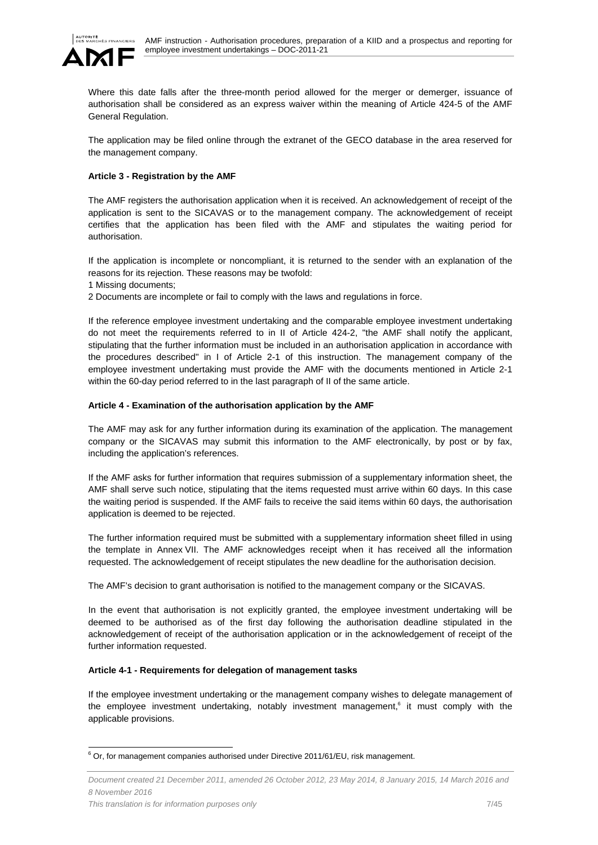

Where this date falls after the three-month period allowed for the merger or demerger, issuance of authorisation shall be considered as an express waiver within the meaning of Article 424-5 of the AMF General Regulation.

The application may be filed online through the extranet of the GECO database in the area reserved for the management company.

# **Article 3 - Registration by the AMF**

The AMF registers the authorisation application when it is received. An acknowledgement of receipt of the application is sent to the SICAVAS or to the management company. The acknowledgement of receipt certifies that the application has been filed with the AMF and stipulates the waiting period for authorisation.

If the application is incomplete or noncompliant, it is returned to the sender with an explanation of the reasons for its rejection. These reasons may be twofold:

- 1 Missing documents;
- 2 Documents are incomplete or fail to comply with the laws and regulations in force.

If the reference employee investment undertaking and the comparable employee investment undertaking do not meet the requirements referred to in II of Article 424-2, "the AMF shall notify the applicant, stipulating that the further information must be included in an authorisation application in accordance with the procedures described" in I of Article 2-1 of this instruction. The management company of the employee investment undertaking must provide the AMF with the documents mentioned in Article 2-1 within the 60-day period referred to in the last paragraph of II of the same article.

### **Article 4 - Examination of the authorisation application by the AMF**

The AMF may ask for any further information during its examination of the application. The management company or the SICAVAS may submit this information to the AMF electronically, by post or by fax, including the application's references.

If the AMF asks for further information that requires submission of a supplementary information sheet, the AMF shall serve such notice, stipulating that the items requested must arrive within 60 days. In this case the waiting period is suspended. If the AMF fails to receive the said items within 60 days, the authorisation application is deemed to be rejected.

The further information required must be submitted with a supplementary information sheet filled in using the template in Annex VII. The AMF acknowledges receipt when it has received all the information requested. The acknowledgement of receipt stipulates the new deadline for the authorisation decision.

The AMF's decision to grant authorisation is notified to the management company or the SICAVAS.

In the event that authorisation is not explicitly granted, the employee investment undertaking will be deemed to be authorised as of the first day following the authorisation deadline stipulated in the acknowledgement of receipt of the authorisation application or in the acknowledgement of receipt of the further information requested.

### **Article 4-1 - Requirements for delegation of management tasks**

If the employee investment undertaking or the management company wishes to delegate management of the employee investment undertaking, notably investment management,<sup>6</sup> it must comply with the applicable provisions.

e<br><sup>6</sup> Or, for management companies authorised under Directive 2011/61/EU, risk management.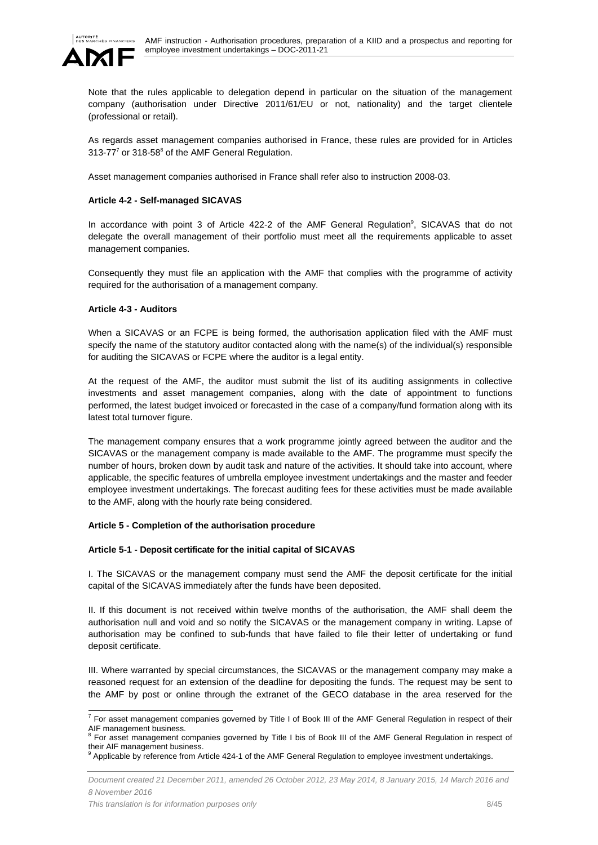

Note that the rules applicable to delegation depend in particular on the situation of the management company (authorisation under Directive 2011/61/EU or not, nationality) and the target clientele (professional or retail).

As regards asset management companies authorised in France, these rules are provided for in Articles 313-77 $^7$  or 318-58 $^8$  of the AMF General Regulation.

Asset management companies authorised in France shall refer also to instruction 2008-03.

### **Article 4-2 - Self-managed SICAVAS**

In accordance with point 3 of Article 422-2 of the AMF General Regulation<sup>9</sup>, SICAVAS that do not delegate the overall management of their portfolio must meet all the requirements applicable to asset management companies.

Consequently they must file an application with the AMF that complies with the programme of activity required for the authorisation of a management company.

### **Article 4-3 - Auditors**

When a SICAVAS or an FCPE is being formed, the authorisation application filed with the AMF must specify the name of the statutory auditor contacted along with the name(s) of the individual(s) responsible for auditing the SICAVAS or FCPE where the auditor is a legal entity.

At the request of the AMF, the auditor must submit the list of its auditing assignments in collective investments and asset management companies, along with the date of appointment to functions performed, the latest budget invoiced or forecasted in the case of a company/fund formation along with its latest total turnover figure.

The management company ensures that a work programme jointly agreed between the auditor and the SICAVAS or the management company is made available to the AMF. The programme must specify the number of hours, broken down by audit task and nature of the activities. It should take into account, where applicable, the specific features of umbrella employee investment undertakings and the master and feeder employee investment undertakings. The forecast auditing fees for these activities must be made available to the AMF, along with the hourly rate being considered.

### **Article 5 - Completion of the authorisation procedure**

### **Article 5-1 - Deposit certificate for the initial capital of SICAVAS**

I. The SICAVAS or the management company must send the AMF the deposit certificate for the initial capital of the SICAVAS immediately after the funds have been deposited.

II. If this document is not received within twelve months of the authorisation, the AMF shall deem the authorisation null and void and so notify the SICAVAS or the management company in writing. Lapse of authorisation may be confined to sub-funds that have failed to file their letter of undertaking or fund deposit certificate.

III. Where warranted by special circumstances, the SICAVAS or the management company may make a reasoned request for an extension of the deadline for depositing the funds. The request may be sent to the AMF by post or online through the extranet of the GECO database in the area reserved for the

 7 For asset management companies governed by Title I of Book III of the AMF General Regulation in respect of their AIF management business.

For asset management companies governed by Title I bis of Book III of the AMF General Regulation in respect of their AIF management business. 9

Applicable by reference from Article 424-1 of the AMF General Regulation to employee investment undertakings.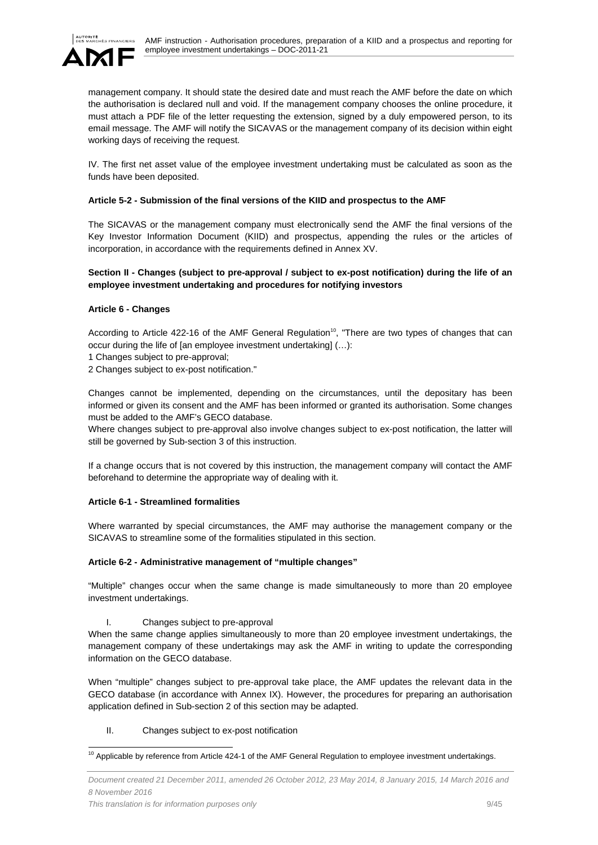

management company. It should state the desired date and must reach the AMF before the date on which the authorisation is declared null and void. If the management company chooses the online procedure, it must attach a PDF file of the letter requesting the extension, signed by a duly empowered person, to its email message. The AMF will notify the SICAVAS or the management company of its decision within eight working days of receiving the request.

IV. The first net asset value of the employee investment undertaking must be calculated as soon as the funds have been deposited.

### **Article 5-2 - Submission of the final versions of the KIID and prospectus to the AMF**

The SICAVAS or the management company must electronically send the AMF the final versions of the Key Investor Information Document (KIID) and prospectus, appending the rules or the articles of incorporation, in accordance with the requirements defined in Annex XV.

### **Section II - Changes (subject to pre-approval / subject to ex-post notification) during the life of an employee investment undertaking and procedures for notifying investors**

### **Article 6 - Changes**

According to Article 422-16 of the AMF General Regulation<sup>10</sup>, "There are two types of changes that can occur during the life of [an employee investment undertaking] (…):

1 Changes subject to pre-approval;

2 Changes subject to ex-post notification."

Changes cannot be implemented, depending on the circumstances, until the depositary has been informed or given its consent and the AMF has been informed or granted its authorisation. Some changes must be added to the AMF's GECO database.

Where changes subject to pre-approval also involve changes subject to ex-post notification, the latter will still be governed by Sub-section 3 of this instruction.

If a change occurs that is not covered by this instruction, the management company will contact the AMF beforehand to determine the appropriate way of dealing with it.

### **Article 6-1 - Streamlined formalities**

Where warranted by special circumstances, the AMF may authorise the management company or the SICAVAS to streamline some of the formalities stipulated in this section.

# **Article 6-2 - Administrative management of "multiple changes"**

"Multiple" changes occur when the same change is made simultaneously to more than 20 employee investment undertakings.

I. Changes subject to pre-approval

When the same change applies simultaneously to more than 20 employee investment undertakings, the management company of these undertakings may ask the AMF in writing to update the corresponding information on the GECO database.

When "multiple" changes subject to pre-approval take place, the AMF updates the relevant data in the GECO database (in accordance with Annex IX). However, the procedures for preparing an authorisation application defined in Sub-section 2 of this section may be adapted.

II. Changes subject to ex-post notification

l

 $10$  Applicable by reference from Article 424-1 of the AMF General Regulation to employee investment undertakings.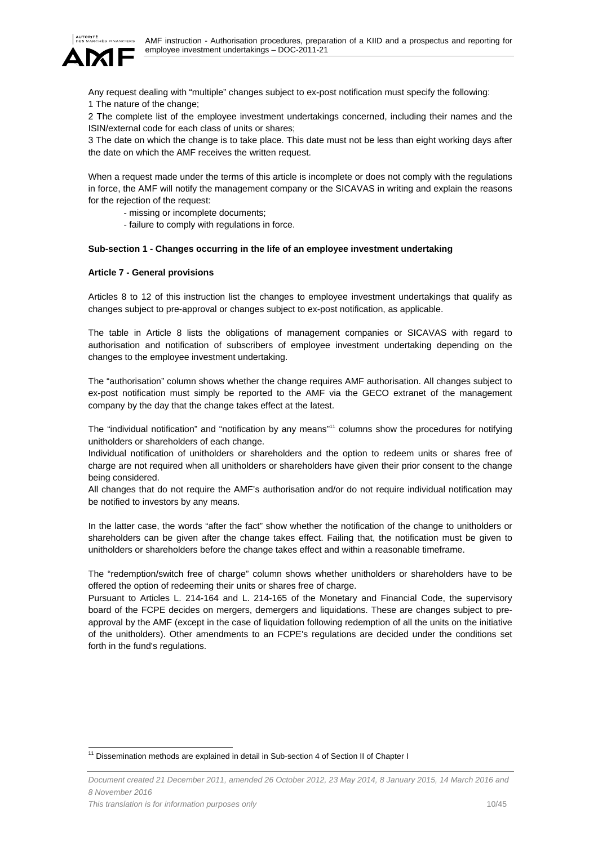

Any request dealing with "multiple" changes subject to ex-post notification must specify the following: 1 The nature of the change;

2 The complete list of the employee investment undertakings concerned, including their names and the ISIN/external code for each class of units or shares;

3 The date on which the change is to take place. This date must not be less than eight working days after the date on which the AMF receives the written request.

When a request made under the terms of this article is incomplete or does not comply with the regulations in force, the AMF will notify the management company or the SICAVAS in writing and explain the reasons for the rejection of the request:

- missing or incomplete documents;
- failure to comply with regulations in force.

### **Sub-section 1 - Changes occurring in the life of an employee investment undertaking**

### **Article 7 - General provisions**

Articles 8 to 12 of this instruction list the changes to employee investment undertakings that qualify as changes subject to pre-approval or changes subject to ex-post notification, as applicable.

The table in Article 8 lists the obligations of management companies or SICAVAS with regard to authorisation and notification of subscribers of employee investment undertaking depending on the changes to the employee investment undertaking.

The "authorisation" column shows whether the change requires AMF authorisation. All changes subject to ex-post notification must simply be reported to the AMF via the GECO extranet of the management company by the day that the change takes effect at the latest.

The "individual notification" and "notification by any means"11 columns show the procedures for notifying unitholders or shareholders of each change.

Individual notification of unitholders or shareholders and the option to redeem units or shares free of charge are not required when all unitholders or shareholders have given their prior consent to the change being considered.

All changes that do not require the AMF's authorisation and/or do not require individual notification may be notified to investors by any means.

In the latter case, the words "after the fact" show whether the notification of the change to unitholders or shareholders can be given after the change takes effect. Failing that, the notification must be given to unitholders or shareholders before the change takes effect and within a reasonable timeframe.

The "redemption/switch free of charge" column shows whether unitholders or shareholders have to be offered the option of redeeming their units or shares free of charge.

Pursuant to Articles L. 214-164 and L. 214-165 of the Monetary and Financial Code, the supervisory board of the FCPE decides on mergers, demergers and liquidations. These are changes subject to preapproval by the AMF (except in the case of liquidation following redemption of all the units on the initiative of the unitholders). Other amendments to an FCPE's regulations are decided under the conditions set forth in the fund's regulations.

l <sup>11</sup> Dissemination methods are explained in detail in Sub-section 4 of Section II of Chapter I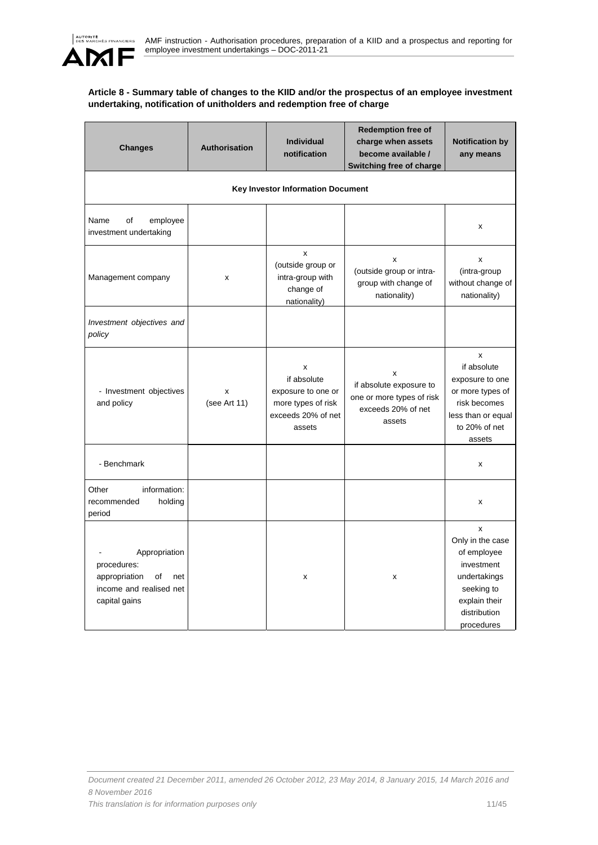

# **Article 8 - Summary table of changes to the KIID and/or the prospectus of an employee investment undertaking, notification of unitholders and redemption free of charge**

| <b>Changes</b>                                                                                         | Authorisation     | <b>Individual</b><br>notification                                                            | <b>Redemption free of</b><br>charge when assets<br>become available /<br>Switching free of charge | <b>Notification by</b><br>any means                                                                                             |
|--------------------------------------------------------------------------------------------------------|-------------------|----------------------------------------------------------------------------------------------|---------------------------------------------------------------------------------------------------|---------------------------------------------------------------------------------------------------------------------------------|
|                                                                                                        |                   | <b>Key Investor Information Document</b>                                                     |                                                                                                   |                                                                                                                                 |
| employee<br>Name<br>οf<br>investment undertaking                                                       |                   |                                                                                              |                                                                                                   | x                                                                                                                               |
| Management company                                                                                     | X                 | x<br>(outside group or<br>intra-group with<br>change of<br>nationality)                      | x<br>(outside group or intra-<br>group with change of<br>nationality)                             | x<br>(intra-group<br>without change of<br>nationality)                                                                          |
| Investment objectives and<br>policy                                                                    |                   |                                                                                              |                                                                                                   |                                                                                                                                 |
| - Investment objectives<br>and policy                                                                  | x<br>(see Art 11) | X<br>if absolute<br>exposure to one or<br>more types of risk<br>exceeds 20% of net<br>assets | X<br>if absolute exposure to<br>one or more types of risk<br>exceeds 20% of net<br>assets         | x<br>if absolute<br>exposure to one<br>or more types of<br>risk becomes<br>less than or equal<br>to 20% of net<br>assets        |
| - Benchmark                                                                                            |                   |                                                                                              |                                                                                                   | x                                                                                                                               |
| Other<br>information:<br>recommended<br>holding<br>period                                              |                   |                                                                                              |                                                                                                   | x                                                                                                                               |
| Appropriation<br>procedures:<br>of<br>appropriation<br>net<br>income and realised net<br>capital gains |                   | X                                                                                            | x                                                                                                 | x<br>Only in the case<br>of employee<br>investment<br>undertakings<br>seeking to<br>explain their<br>distribution<br>procedures |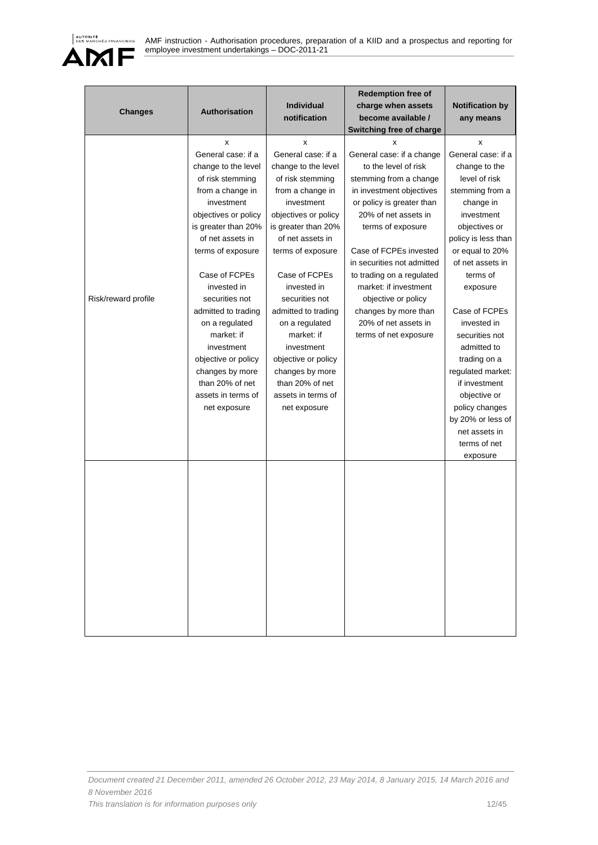

| <b>Changes</b>      | <b>Authorisation</b>                                                                                                                                                                                                                                                                                                                                                                                                   | Individual<br>notification                                                                                                                                                                                                                                                                                                                                                                                             | <b>Redemption free of</b><br>charge when assets<br>become available /<br><b>Switching free of charge</b>                                                                                                                                                                                                                                                                                             | <b>Notification by</b><br>any means                                                                                                                                                                                                                                                                                                                                                                                                       |
|---------------------|------------------------------------------------------------------------------------------------------------------------------------------------------------------------------------------------------------------------------------------------------------------------------------------------------------------------------------------------------------------------------------------------------------------------|------------------------------------------------------------------------------------------------------------------------------------------------------------------------------------------------------------------------------------------------------------------------------------------------------------------------------------------------------------------------------------------------------------------------|------------------------------------------------------------------------------------------------------------------------------------------------------------------------------------------------------------------------------------------------------------------------------------------------------------------------------------------------------------------------------------------------------|-------------------------------------------------------------------------------------------------------------------------------------------------------------------------------------------------------------------------------------------------------------------------------------------------------------------------------------------------------------------------------------------------------------------------------------------|
| Risk/reward profile | x<br>General case: if a<br>change to the level<br>of risk stemming<br>from a change in<br>investment<br>objectives or policy<br>is greater than 20%<br>of net assets in<br>terms of exposure<br>Case of FCPEs<br>invested in<br>securities not<br>admitted to trading<br>on a regulated<br>market: if<br>investment<br>objective or policy<br>changes by more<br>than 20% of net<br>assets in terms of<br>net exposure | x<br>General case: if a<br>change to the level<br>of risk stemming<br>from a change in<br>investment<br>objectives or policy<br>is greater than 20%<br>of net assets in<br>terms of exposure<br>Case of FCPEs<br>invested in<br>securities not<br>admitted to trading<br>on a regulated<br>market: if<br>investment<br>objective or policy<br>changes by more<br>than 20% of net<br>assets in terms of<br>net exposure | x<br>General case: if a change<br>to the level of risk<br>stemming from a change<br>in investment objectives<br>or policy is greater than<br>20% of net assets in<br>terms of exposure<br>Case of FCPEs invested<br>in securities not admitted<br>to trading on a regulated<br>market: if investment<br>objective or policy<br>changes by more than<br>20% of net assets in<br>terms of net exposure | x<br>General case: if a<br>change to the<br>level of risk<br>stemming from a<br>change in<br>investment<br>objectives or<br>policy is less than<br>or equal to 20%<br>of net assets in<br>terms of<br>exposure<br>Case of FCPEs<br>invested in<br>securities not<br>admitted to<br>trading on a<br>regulated market:<br>if investment<br>objective or<br>policy changes<br>by 20% or less of<br>net assets in<br>terms of net<br>exposure |
|                     |                                                                                                                                                                                                                                                                                                                                                                                                                        |                                                                                                                                                                                                                                                                                                                                                                                                                        |                                                                                                                                                                                                                                                                                                                                                                                                      |                                                                                                                                                                                                                                                                                                                                                                                                                                           |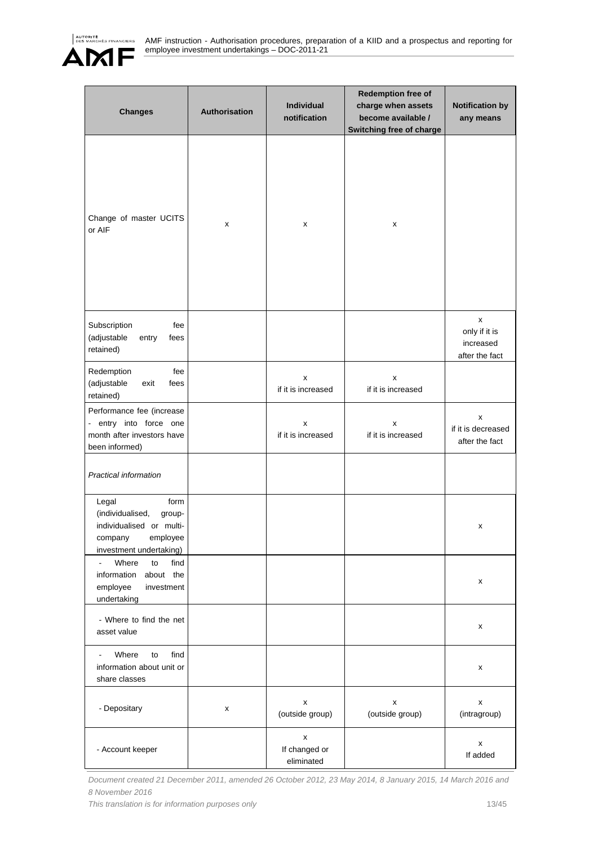

| <b>Changes</b>                                                                                                            | <b>Authorisation</b> | Individual<br>notification       | <b>Redemption free of</b><br>charge when assets<br>become available /<br>Switching free of charge | <b>Notification by</b><br>any means               |
|---------------------------------------------------------------------------------------------------------------------------|----------------------|----------------------------------|---------------------------------------------------------------------------------------------------|---------------------------------------------------|
| Change of master UCITS<br>or AIF                                                                                          | x                    | x                                | x                                                                                                 |                                                   |
| Subscription<br>fee<br>(adjustable<br>entry<br>fees<br>retained)                                                          |                      |                                  |                                                                                                   | x<br>only if it is<br>increased<br>after the fact |
| Redemption<br>fee<br>(adjustable<br>exit<br>fees<br>retained)                                                             |                      | x<br>if it is increased          | x<br>if it is increased                                                                           |                                                   |
| Performance fee (increase<br>entry into force one<br>÷.<br>month after investors have<br>been informed)                   |                      | x<br>if it is increased          | x<br>if it is increased                                                                           | x<br>if it is decreased<br>after the fact         |
| Practical information                                                                                                     |                      |                                  |                                                                                                   |                                                   |
| Legal<br>form<br>(individualised,<br>group-<br>individualised or multi-<br>employee<br>company<br>investment undertaking) |                      |                                  |                                                                                                   | x                                                 |
| Where<br>to<br>find<br>information<br>about the<br>employee<br>investment<br>undertaking                                  |                      |                                  |                                                                                                   | x                                                 |
| - Where to find the net<br>asset value                                                                                    |                      |                                  |                                                                                                   | x                                                 |
| Where<br>find<br>to<br>information about unit or<br>share classes                                                         |                      |                                  |                                                                                                   | x                                                 |
| - Depositary                                                                                                              | х                    | x<br>(outside group)             | x<br>(outside group)                                                                              | x<br>(intragroup)                                 |
| - Account keeper                                                                                                          |                      | x<br>If changed or<br>eliminated |                                                                                                   | x<br>If added                                     |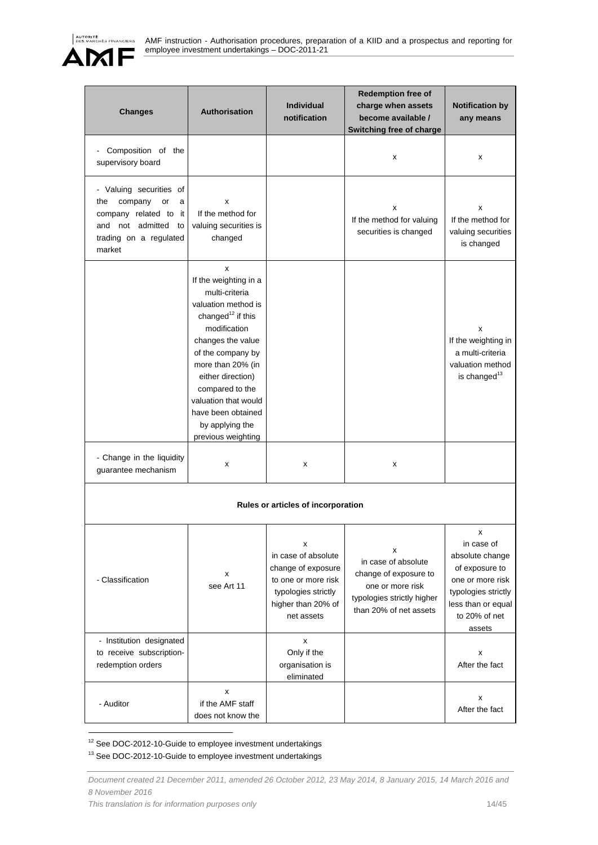

| <b>Changes</b>                                                                                                                           | <b>Authorisation</b>                                                                                                                                                                                                                                                                                               | <b>Individual</b><br>notification                                                                                                | <b>Redemption free of</b><br>charge when assets<br>become available /<br>Switching free of charge                             | <b>Notification by</b><br>any means                                                                                                              |
|------------------------------------------------------------------------------------------------------------------------------------------|--------------------------------------------------------------------------------------------------------------------------------------------------------------------------------------------------------------------------------------------------------------------------------------------------------------------|----------------------------------------------------------------------------------------------------------------------------------|-------------------------------------------------------------------------------------------------------------------------------|--------------------------------------------------------------------------------------------------------------------------------------------------|
| Composition of the<br>supervisory board                                                                                                  |                                                                                                                                                                                                                                                                                                                    |                                                                                                                                  | X                                                                                                                             | X                                                                                                                                                |
| - Valuing securities of<br>company<br>the<br>or<br>a<br>company related to it<br>and not admitted to<br>trading on a regulated<br>market | x<br>If the method for<br>valuing securities is<br>changed                                                                                                                                                                                                                                                         |                                                                                                                                  | х<br>If the method for valuing<br>securities is changed                                                                       | x<br>If the method for<br>valuing securities<br>is changed                                                                                       |
|                                                                                                                                          | x<br>If the weighting in a<br>multi-criteria<br>valuation method is<br>changed <sup>12</sup> if this<br>modification<br>changes the value<br>of the company by<br>more than 20% (in<br>either direction)<br>compared to the<br>valuation that would<br>have been obtained<br>by applying the<br>previous weighting |                                                                                                                                  |                                                                                                                               | x<br>If the weighting in<br>a multi-criteria<br>valuation method<br>is changed <sup>13</sup>                                                     |
| - Change in the liquidity<br>guarantee mechanism                                                                                         | x                                                                                                                                                                                                                                                                                                                  | x                                                                                                                                | x                                                                                                                             |                                                                                                                                                  |
|                                                                                                                                          |                                                                                                                                                                                                                                                                                                                    | Rules or articles of incorporation                                                                                               |                                                                                                                               |                                                                                                                                                  |
| - Classification                                                                                                                         | x<br>see Art 11                                                                                                                                                                                                                                                                                                    | x<br>in case of absolute<br>change of exposure<br>to one or more risk<br>typologies strictly<br>higher than 20% of<br>net assets | х<br>in case of absolute<br>change of exposure to<br>one or more risk<br>typologies strictly higher<br>than 20% of net assets | х<br>in case of<br>absolute change<br>of exposure to<br>one or more risk<br>typologies strictly<br>less than or equal<br>to 20% of net<br>assets |
| - Institution designated<br>to receive subscription-<br>redemption orders                                                                |                                                                                                                                                                                                                                                                                                                    | x<br>Only if the<br>organisation is<br>eliminated                                                                                |                                                                                                                               | x<br>After the fact                                                                                                                              |
| - Auditor                                                                                                                                | X<br>if the AMF staff<br>does not know the                                                                                                                                                                                                                                                                         |                                                                                                                                  |                                                                                                                               | x<br>After the fact                                                                                                                              |

 $12$  See DOC-2012-10-Guide to employee investment undertakings

13 See DOC-2012-10-Guide to employee investment undertakings

 $\overline{a}$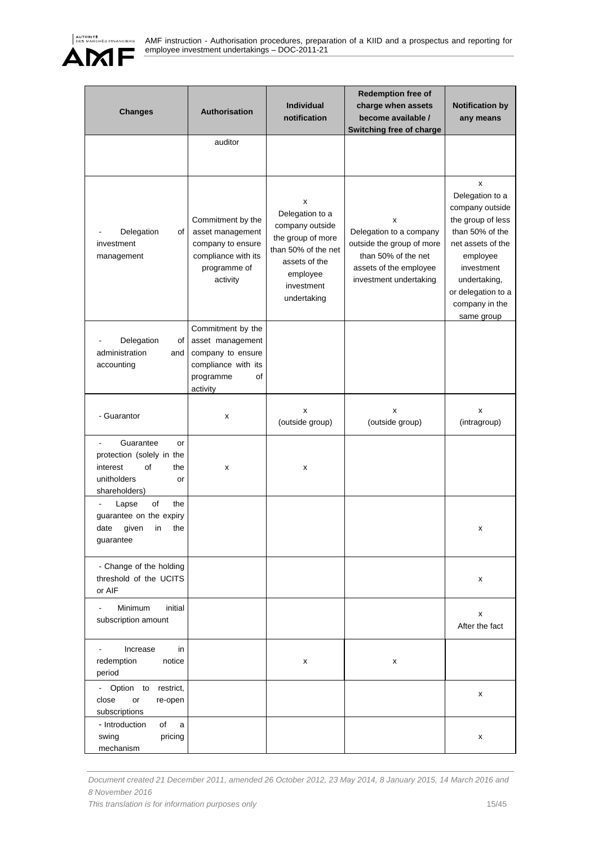

| <b>Changes</b>                                                                                              | Authorisation                                                                                                    | Individual<br>notification                                                                                                                    | <b>Redemption free of</b><br>charge when assets<br>become available /<br><b>Switching free of charge</b>                             | <b>Notification by</b><br>any means                                                                                                                                                                  |
|-------------------------------------------------------------------------------------------------------------|------------------------------------------------------------------------------------------------------------------|-----------------------------------------------------------------------------------------------------------------------------------------------|--------------------------------------------------------------------------------------------------------------------------------------|------------------------------------------------------------------------------------------------------------------------------------------------------------------------------------------------------|
|                                                                                                             | auditor                                                                                                          |                                                                                                                                               |                                                                                                                                      |                                                                                                                                                                                                      |
| Delegation<br>of<br>investment<br>management                                                                | Commitment by the<br>asset management<br>company to ensure<br>compliance with its<br>programme of<br>activity    | x<br>Delegation to a<br>company outside<br>the group of more<br>than 50% of the net<br>assets of the<br>employee<br>investment<br>undertaking | x<br>Delegation to a company<br>outside the group of more<br>than 50% of the net<br>assets of the employee<br>investment undertaking | x<br>Delegation to a<br>company outside<br>the group of less<br>than 50% of the<br>net assets of the<br>employee<br>investment<br>undertaking,<br>or delegation to a<br>company in the<br>same group |
| Delegation<br>of<br>administration<br>and<br>accounting                                                     | Commitment by the<br>asset management<br>company to ensure<br>compliance with its<br>programme<br>of<br>activity |                                                                                                                                               |                                                                                                                                      |                                                                                                                                                                                                      |
| - Guarantor                                                                                                 | x                                                                                                                | x<br>(outside group)                                                                                                                          | x<br>(outside group)                                                                                                                 | x<br>(intragroup)                                                                                                                                                                                    |
| Guarantee<br>or<br>protection (solely in the<br>of<br>interest<br>the<br>unitholders<br>or<br>shareholders) | x                                                                                                                | x                                                                                                                                             |                                                                                                                                      |                                                                                                                                                                                                      |
| οf<br>the<br>Lapse<br>guarantee on the expiry<br>given<br>the<br>date<br>in<br>guarantee                    |                                                                                                                  |                                                                                                                                               |                                                                                                                                      | x                                                                                                                                                                                                    |
| - Change of the holding<br>threshold of the UCITS<br>or AIF                                                 |                                                                                                                  |                                                                                                                                               |                                                                                                                                      | x                                                                                                                                                                                                    |
| Minimum<br>initial<br>subscription amount                                                                   |                                                                                                                  |                                                                                                                                               |                                                                                                                                      | x<br>After the fact                                                                                                                                                                                  |
| Increase<br>in<br>redemption<br>notice<br>period                                                            |                                                                                                                  | x                                                                                                                                             | x                                                                                                                                    |                                                                                                                                                                                                      |
| - Option to<br>restrict,<br>close<br>or<br>re-open<br>subscriptions                                         |                                                                                                                  |                                                                                                                                               |                                                                                                                                      | x                                                                                                                                                                                                    |
| - Introduction<br>of<br>a<br>swing<br>pricing<br>mechanism                                                  |                                                                                                                  |                                                                                                                                               |                                                                                                                                      | x                                                                                                                                                                                                    |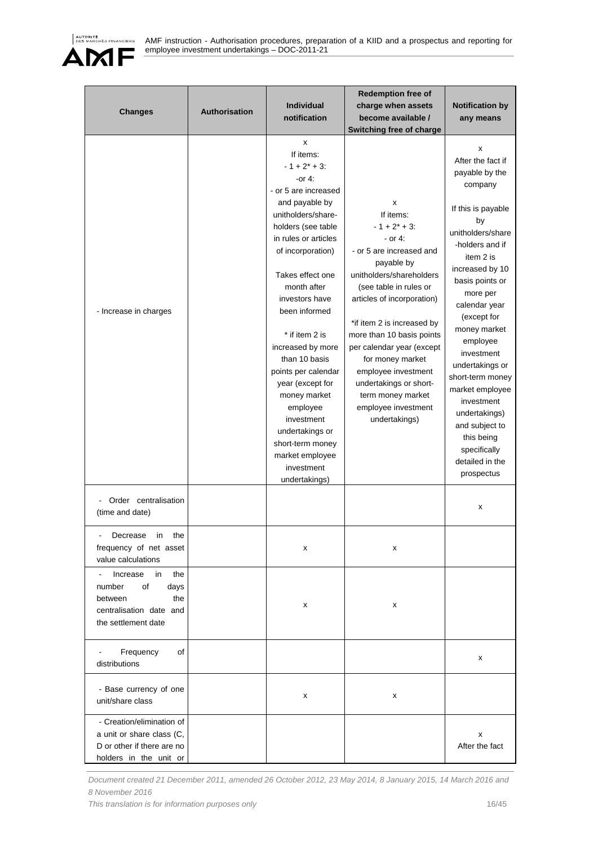

| <b>Changes</b>                                                                                                    | <b>Authorisation</b> | <b>Individual</b><br>notification                                                                                                                                                                                                                                                                                                                                                                                                                                                              | <b>Redemption free of</b><br>charge when assets<br>become available /<br>Switching free of charge                                                                                                                                                                                                                                                                                                     | <b>Notification by</b><br>any means                                                                                                                                                                                                                                                                                                                                                                                                        |
|-------------------------------------------------------------------------------------------------------------------|----------------------|------------------------------------------------------------------------------------------------------------------------------------------------------------------------------------------------------------------------------------------------------------------------------------------------------------------------------------------------------------------------------------------------------------------------------------------------------------------------------------------------|-------------------------------------------------------------------------------------------------------------------------------------------------------------------------------------------------------------------------------------------------------------------------------------------------------------------------------------------------------------------------------------------------------|--------------------------------------------------------------------------------------------------------------------------------------------------------------------------------------------------------------------------------------------------------------------------------------------------------------------------------------------------------------------------------------------------------------------------------------------|
| - Increase in charges                                                                                             |                      | x<br>If items:<br>$-1 + 2^* + 3$ :<br>-or $4$ :<br>- or 5 are increased<br>and payable by<br>unitholders/share-<br>holders (see table<br>in rules or articles<br>of incorporation)<br>Takes effect one<br>month after<br>investors have<br>been informed<br>* if item 2 is<br>increased by more<br>than 10 basis<br>points per calendar<br>year (except for<br>money market<br>employee<br>investment<br>undertakings or<br>short-term money<br>market employee<br>investment<br>undertakings) | x<br>If items:<br>$-1 + 2^* + 3$ :<br>- or 4:<br>- or 5 are increased and<br>payable by<br>unitholders/shareholders<br>(see table in rules or<br>articles of incorporation)<br>*if item 2 is increased by<br>more than 10 basis points<br>per calendar year (except<br>for money market<br>employee investment<br>undertakings or short-<br>term money market<br>employee investment<br>undertakings) | x<br>After the fact if<br>payable by the<br>company<br>If this is payable<br>by<br>unitholders/share<br>-holders and if<br>item 2 is<br>increased by 10<br>basis points or<br>more per<br>calendar year<br>(except for<br>money market<br>employee<br>investment<br>undertakings or<br>short-term money<br>market employee<br>investment<br>undertakings)<br>and subject to<br>this being<br>specifically<br>detailed in the<br>prospectus |
| Order centralisation<br>(time and date)                                                                           |                      |                                                                                                                                                                                                                                                                                                                                                                                                                                                                                                |                                                                                                                                                                                                                                                                                                                                                                                                       | x                                                                                                                                                                                                                                                                                                                                                                                                                                          |
| Decrease<br>in<br>the<br>frequency of net asset<br>value calculations                                             |                      | x                                                                                                                                                                                                                                                                                                                                                                                                                                                                                              | x                                                                                                                                                                                                                                                                                                                                                                                                     |                                                                                                                                                                                                                                                                                                                                                                                                                                            |
| Increase<br>in<br>the<br>οf<br>number<br>days<br>the<br>between<br>centralisation date and<br>the settlement date |                      | x                                                                                                                                                                                                                                                                                                                                                                                                                                                                                              | x                                                                                                                                                                                                                                                                                                                                                                                                     |                                                                                                                                                                                                                                                                                                                                                                                                                                            |
| Frequency<br>οf<br>distributions                                                                                  |                      |                                                                                                                                                                                                                                                                                                                                                                                                                                                                                                |                                                                                                                                                                                                                                                                                                                                                                                                       | x                                                                                                                                                                                                                                                                                                                                                                                                                                          |
| - Base currency of one<br>unit/share class                                                                        |                      | х                                                                                                                                                                                                                                                                                                                                                                                                                                                                                              | х                                                                                                                                                                                                                                                                                                                                                                                                     |                                                                                                                                                                                                                                                                                                                                                                                                                                            |
| - Creation/elimination of<br>a unit or share class (C,<br>D or other if there are no<br>holders in the unit or    |                      |                                                                                                                                                                                                                                                                                                                                                                                                                                                                                                |                                                                                                                                                                                                                                                                                                                                                                                                       | x<br>After the fact                                                                                                                                                                                                                                                                                                                                                                                                                        |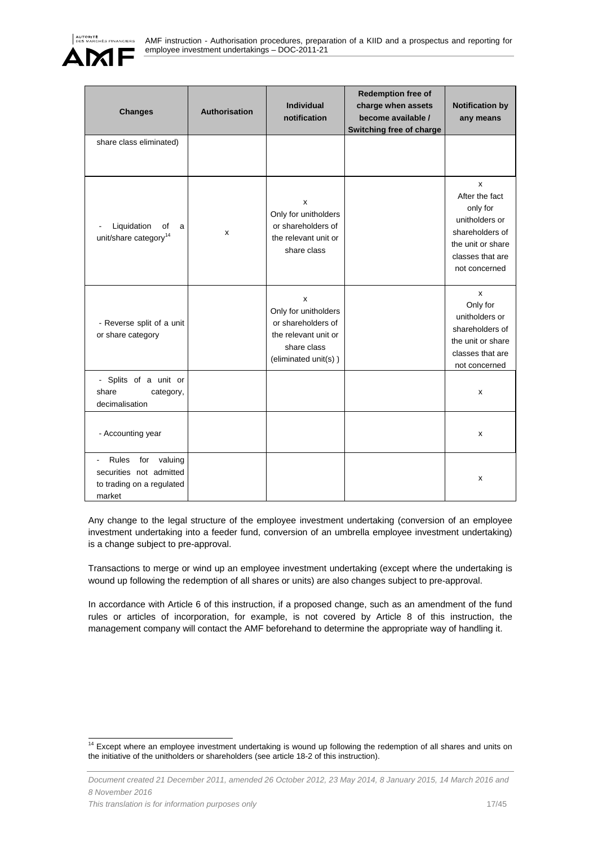

| <b>Changes</b>                                                                                              | <b>Authorisation</b> | <b>Individual</b><br>notification                                                                                         | <b>Redemption free of</b><br>charge when assets<br>become available /<br>Switching free of charge | <b>Notification by</b><br>any means                                                                                            |
|-------------------------------------------------------------------------------------------------------------|----------------------|---------------------------------------------------------------------------------------------------------------------------|---------------------------------------------------------------------------------------------------|--------------------------------------------------------------------------------------------------------------------------------|
| share class eliminated)                                                                                     |                      |                                                                                                                           |                                                                                                   |                                                                                                                                |
| Liquidation<br>οf<br>a<br>unit/share category <sup>14</sup>                                                 | x                    | x<br>Only for unitholders<br>or shareholders of<br>the relevant unit or<br>share class                                    |                                                                                                   | X<br>After the fact<br>only for<br>unitholders or<br>shareholders of<br>the unit or share<br>classes that are<br>not concerned |
| - Reverse split of a unit<br>or share category                                                              |                      | $\mathsf{x}$<br>Only for unitholders<br>or shareholders of<br>the relevant unit or<br>share class<br>(eliminated unit(s)) |                                                                                                   | X<br>Only for<br>unitholders or<br>shareholders of<br>the unit or share<br>classes that are<br>not concerned                   |
| - Splits of a unit or<br>share<br>category,<br>decimalisation                                               |                      |                                                                                                                           |                                                                                                   | x                                                                                                                              |
| - Accounting year                                                                                           |                      |                                                                                                                           |                                                                                                   | x                                                                                                                              |
| Rules<br>for<br>valuing<br>$\overline{a}$<br>securities not admitted<br>to trading on a regulated<br>market |                      |                                                                                                                           |                                                                                                   | x                                                                                                                              |

Any change to the legal structure of the employee investment undertaking (conversion of an employee investment undertaking into a feeder fund, conversion of an umbrella employee investment undertaking) is a change subject to pre-approval.

Transactions to merge or wind up an employee investment undertaking (except where the undertaking is wound up following the redemption of all shares or units) are also changes subject to pre-approval.

In accordance with Article 6 of this instruction, if a proposed change, such as an amendment of the fund rules or articles of incorporation, for example, is not covered by Article 8 of this instruction, the management company will contact the AMF beforehand to determine the appropriate way of handling it.

 $\overline{a}$ <sup>14</sup> Except where an employee investment undertaking is wound up following the redemption of all shares and units on the initiative of the unitholders or shareholders (see article 18-2 of this instruction).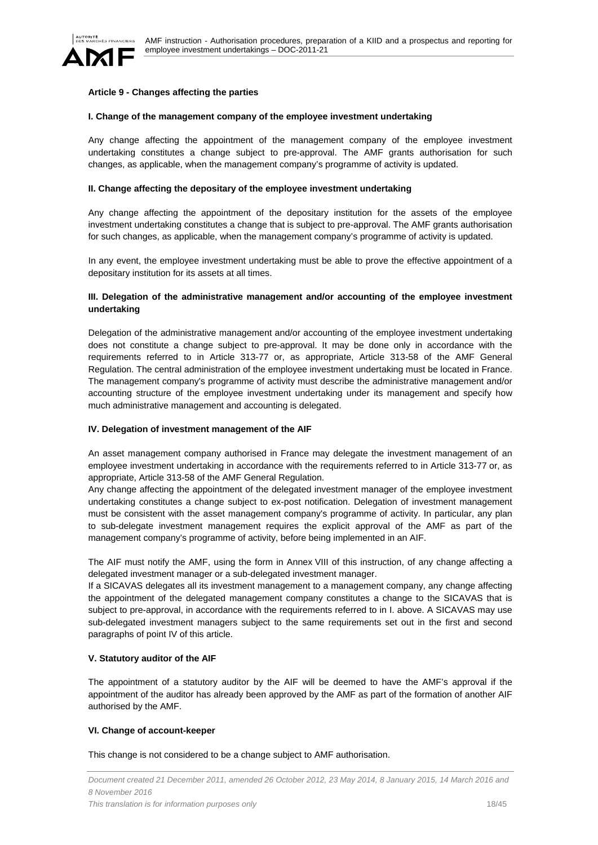

### **Article 9 - Changes affecting the parties**

#### **I. Change of the management company of the employee investment undertaking**

Any change affecting the appointment of the management company of the employee investment undertaking constitutes a change subject to pre-approval. The AMF grants authorisation for such changes, as applicable, when the management company's programme of activity is updated.

### **II. Change affecting the depositary of the employee investment undertaking**

Any change affecting the appointment of the depositary institution for the assets of the employee investment undertaking constitutes a change that is subject to pre-approval. The AMF grants authorisation for such changes, as applicable, when the management company's programme of activity is updated.

In any event, the employee investment undertaking must be able to prove the effective appointment of a depositary institution for its assets at all times.

### **III. Delegation of the administrative management and/or accounting of the employee investment undertaking**

Delegation of the administrative management and/or accounting of the employee investment undertaking does not constitute a change subject to pre-approval. It may be done only in accordance with the requirements referred to in Article 313-77 or, as appropriate, Article 313-58 of the AMF General Regulation. The central administration of the employee investment undertaking must be located in France. The management company's programme of activity must describe the administrative management and/or accounting structure of the employee investment undertaking under its management and specify how much administrative management and accounting is delegated.

### **IV. Delegation of investment management of the AIF**

An asset management company authorised in France may delegate the investment management of an employee investment undertaking in accordance with the requirements referred to in Article 313-77 or, as appropriate, Article 313-58 of the AMF General Regulation.

Any change affecting the appointment of the delegated investment manager of the employee investment undertaking constitutes a change subject to ex-post notification. Delegation of investment management must be consistent with the asset management company's programme of activity. In particular, any plan to sub-delegate investment management requires the explicit approval of the AMF as part of the management company's programme of activity, before being implemented in an AIF.

The AIF must notify the AMF, using the form in Annex VIII of this instruction, of any change affecting a delegated investment manager or a sub-delegated investment manager.

If a SICAVAS delegates all its investment management to a management company, any change affecting the appointment of the delegated management company constitutes a change to the SICAVAS that is subject to pre-approval, in accordance with the requirements referred to in I. above. A SICAVAS may use sub-delegated investment managers subject to the same requirements set out in the first and second paragraphs of point IV of this article.

### **V. Statutory auditor of the AIF**

The appointment of a statutory auditor by the AIF will be deemed to have the AMF's approval if the appointment of the auditor has already been approved by the AMF as part of the formation of another AIF authorised by the AMF.

# **VI. Change of account-keeper**

This change is not considered to be a change subject to AMF authorisation.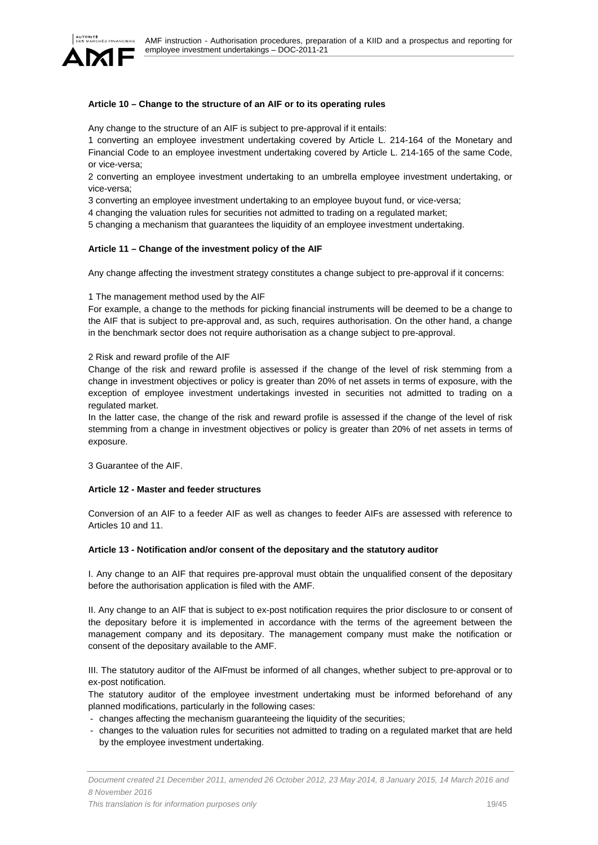

### **Article 10 – Change to the structure of an AIF or to its operating rules**

Any change to the structure of an AIF is subject to pre-approval if it entails:

1 converting an employee investment undertaking covered by Article L. 214-164 of the Monetary and Financial Code to an employee investment undertaking covered by Article L. 214-165 of the same Code, or vice-versa;

2 converting an employee investment undertaking to an umbrella employee investment undertaking, or vice-versa;

3 converting an employee investment undertaking to an employee buyout fund, or vice-versa;

4 changing the valuation rules for securities not admitted to trading on a regulated market;

5 changing a mechanism that guarantees the liquidity of an employee investment undertaking.

#### **Article 11 – Change of the investment policy of the AIF**

Any change affecting the investment strategy constitutes a change subject to pre-approval if it concerns:

#### 1 The management method used by the AIF

For example, a change to the methods for picking financial instruments will be deemed to be a change to the AIF that is subject to pre-approval and, as such, requires authorisation. On the other hand, a change in the benchmark sector does not require authorisation as a change subject to pre-approval.

#### 2 Risk and reward profile of the AIF

Change of the risk and reward profile is assessed if the change of the level of risk stemming from a change in investment objectives or policy is greater than 20% of net assets in terms of exposure, with the exception of employee investment undertakings invested in securities not admitted to trading on a regulated market.

In the latter case, the change of the risk and reward profile is assessed if the change of the level of risk stemming from a change in investment objectives or policy is greater than 20% of net assets in terms of exposure.

3 Guarantee of the AIF.

### **Article 12 - Master and feeder structures**

Conversion of an AIF to a feeder AIF as well as changes to feeder AIFs are assessed with reference to Articles 10 and 11.

### **Article 13 - Notification and/or consent of the depositary and the statutory auditor**

I. Any change to an AIF that requires pre-approval must obtain the unqualified consent of the depositary before the authorisation application is filed with the AMF.

II. Any change to an AIF that is subject to ex-post notification requires the prior disclosure to or consent of the depositary before it is implemented in accordance with the terms of the agreement between the management company and its depositary. The management company must make the notification or consent of the depositary available to the AMF.

III. The statutory auditor of the AIFmust be informed of all changes, whether subject to pre-approval or to ex-post notification.

The statutory auditor of the employee investment undertaking must be informed beforehand of any planned modifications, particularly in the following cases:

- changes affecting the mechanism guaranteeing the liquidity of the securities;
- changes to the valuation rules for securities not admitted to trading on a regulated market that are held by the employee investment undertaking.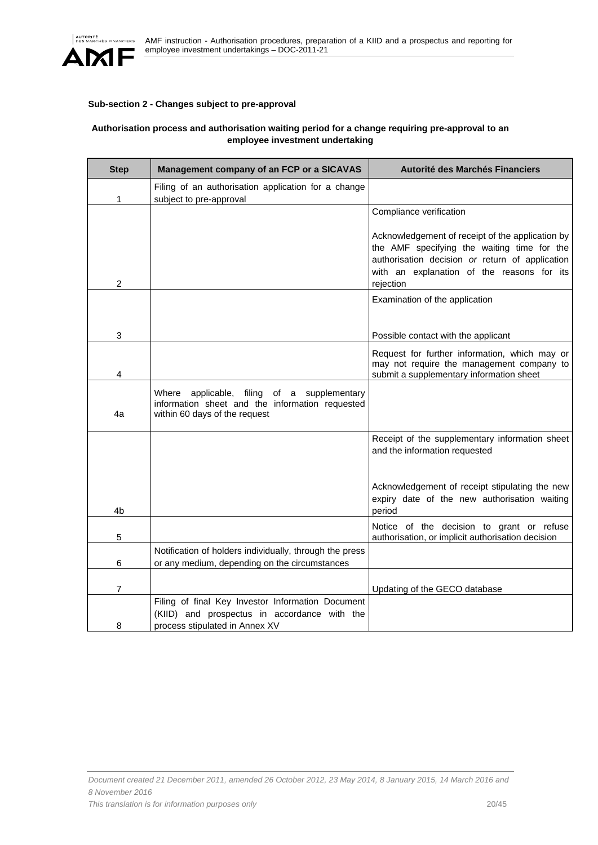

# **Sub-section 2 - Changes subject to pre-approval**

# **Authorisation process and authorisation waiting period for a change requiring pre-approval to an employee investment undertaking**

| <b>Step</b> | Management company of an FCP or a SICAVAS                                                                                             | Autorité des Marchés Financiers                                                                                                                                                                               |
|-------------|---------------------------------------------------------------------------------------------------------------------------------------|---------------------------------------------------------------------------------------------------------------------------------------------------------------------------------------------------------------|
| 1           | Filing of an authorisation application for a change<br>subject to pre-approval                                                        |                                                                                                                                                                                                               |
|             |                                                                                                                                       | Compliance verification                                                                                                                                                                                       |
| 2           |                                                                                                                                       | Acknowledgement of receipt of the application by<br>the AMF specifying the waiting time for the<br>authorisation decision or return of application<br>with an explanation of the reasons for its<br>rejection |
|             |                                                                                                                                       | Examination of the application                                                                                                                                                                                |
| 3           |                                                                                                                                       | Possible contact with the applicant                                                                                                                                                                           |
| 4           |                                                                                                                                       | Request for further information, which may or<br>may not require the management company to<br>submit a supplementary information sheet                                                                        |
| 4a          | Where<br>applicable, filing<br>of a supplementary<br>information sheet and the information requested<br>within 60 days of the request |                                                                                                                                                                                                               |
|             |                                                                                                                                       | Receipt of the supplementary information sheet<br>and the information requested                                                                                                                               |
| 4b          |                                                                                                                                       | Acknowledgement of receipt stipulating the new<br>expiry date of the new authorisation waiting<br>period                                                                                                      |
| 5           |                                                                                                                                       | Notice of the decision to grant or refuse<br>authorisation, or implicit authorisation decision                                                                                                                |
| 6           | Notification of holders individually, through the press<br>or any medium, depending on the circumstances                              |                                                                                                                                                                                                               |
| 7           |                                                                                                                                       | Updating of the GECO database                                                                                                                                                                                 |
| 8           | Filing of final Key Investor Information Document<br>(KIID) and prospectus in accordance with the<br>process stipulated in Annex XV   |                                                                                                                                                                                                               |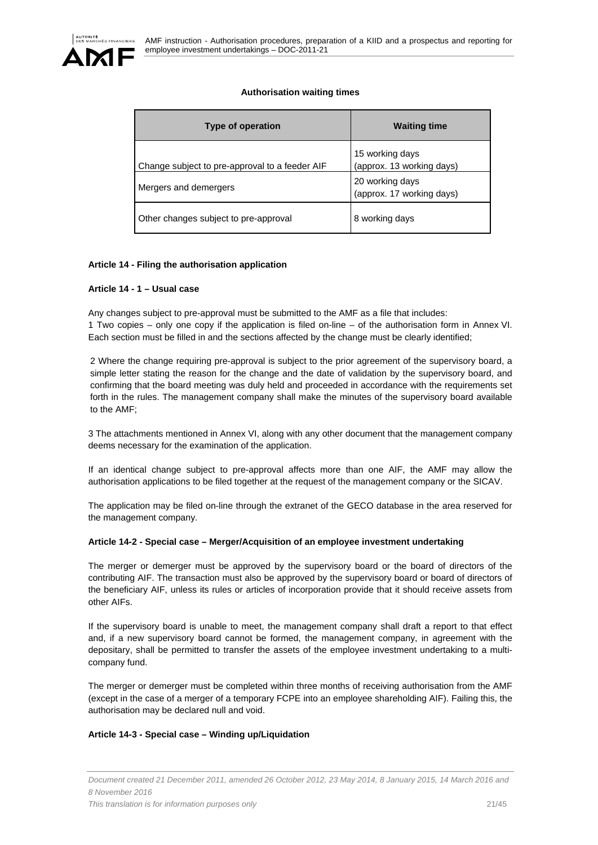

# **Authorisation waiting times**

| Type of operation                              | <b>Waiting time</b>                          |
|------------------------------------------------|----------------------------------------------|
| Change subject to pre-approval to a feeder AIF | 15 working days<br>(approx. 13 working days) |
| Mergers and demergers                          | 20 working days<br>(approx. 17 working days) |
| Other changes subject to pre-approval          | 8 working days                               |

# **Article 14 - Filing the authorisation application**

### **Article 14 - 1 – Usual case**

Any changes subject to pre-approval must be submitted to the AMF as a file that includes:

1 Two copies – only one copy if the application is filed on-line – of the authorisation form in Annex VI. Each section must be filled in and the sections affected by the change must be clearly identified;

2 Where the change requiring pre-approval is subject to the prior agreement of the supervisory board, a simple letter stating the reason for the change and the date of validation by the supervisory board, and confirming that the board meeting was duly held and proceeded in accordance with the requirements set forth in the rules. The management company shall make the minutes of the supervisory board available to the AMF;

3 The attachments mentioned in Annex VI, along with any other document that the management company deems necessary for the examination of the application.

If an identical change subject to pre-approval affects more than one AIF, the AMF may allow the authorisation applications to be filed together at the request of the management company or the SICAV.

The application may be filed on-line through the extranet of the GECO database in the area reserved for the management company.

# **Article 14-2 - Special case – Merger/Acquisition of an employee investment undertaking**

The merger or demerger must be approved by the supervisory board or the board of directors of the contributing AIF. The transaction must also be approved by the supervisory board or board of directors of the beneficiary AIF, unless its rules or articles of incorporation provide that it should receive assets from other AIFs.

If the supervisory board is unable to meet, the management company shall draft a report to that effect and, if a new supervisory board cannot be formed, the management company, in agreement with the depositary, shall be permitted to transfer the assets of the employee investment undertaking to a multicompany fund.

The merger or demerger must be completed within three months of receiving authorisation from the AMF (except in the case of a merger of a temporary FCPE into an employee shareholding AIF). Failing this, the authorisation may be declared null and void.

# **Article 14-3 - Special case – Winding up/Liquidation**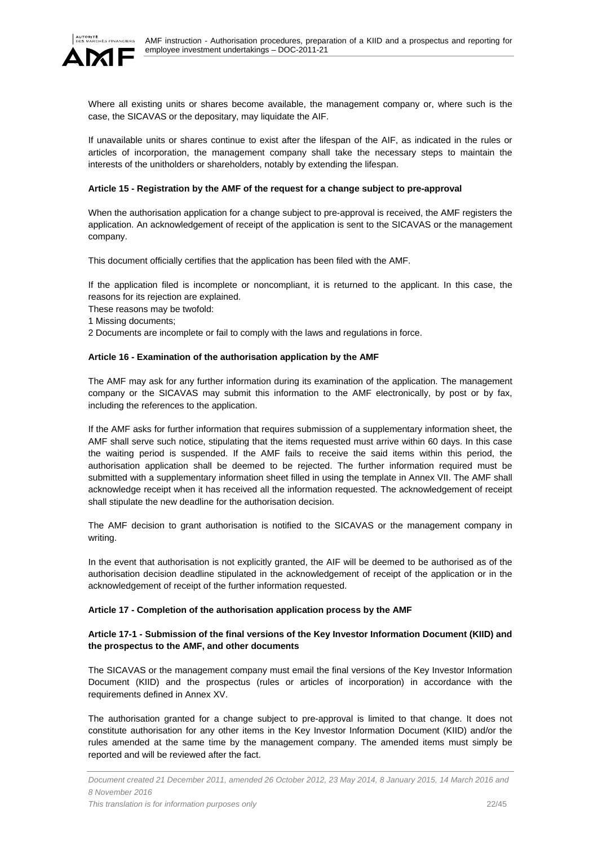



Where all existing units or shares become available, the management company or, where such is the case, the SICAVAS or the depositary, may liquidate the AIF.

If unavailable units or shares continue to exist after the lifespan of the AIF, as indicated in the rules or articles of incorporation, the management company shall take the necessary steps to maintain the interests of the unitholders or shareholders, notably by extending the lifespan.

### **Article 15 - Registration by the AMF of the request for a change subject to pre-approval**

When the authorisation application for a change subject to pre-approval is received, the AMF registers the application. An acknowledgement of receipt of the application is sent to the SICAVAS or the management company.

This document officially certifies that the application has been filed with the AMF.

If the application filed is incomplete or noncompliant, it is returned to the applicant. In this case, the reasons for its rejection are explained.

These reasons may be twofold:

1 Missing documents;

2 Documents are incomplete or fail to comply with the laws and regulations in force.

### **Article 16 - Examination of the authorisation application by the AMF**

The AMF may ask for any further information during its examination of the application. The management company or the SICAVAS may submit this information to the AMF electronically, by post or by fax, including the references to the application.

If the AMF asks for further information that requires submission of a supplementary information sheet, the AMF shall serve such notice, stipulating that the items requested must arrive within 60 days. In this case the waiting period is suspended. If the AMF fails to receive the said items within this period, the authorisation application shall be deemed to be rejected. The further information required must be submitted with a supplementary information sheet filled in using the template in Annex VII. The AMF shall acknowledge receipt when it has received all the information requested. The acknowledgement of receipt shall stipulate the new deadline for the authorisation decision.

The AMF decision to grant authorisation is notified to the SICAVAS or the management company in writing.

In the event that authorisation is not explicitly granted, the AIF will be deemed to be authorised as of the authorisation decision deadline stipulated in the acknowledgement of receipt of the application or in the acknowledgement of receipt of the further information requested.

# **Article 17 - Completion of the authorisation application process by the AMF**

# **Article 17-1 - Submission of the final versions of the Key Investor Information Document (KIID) and the prospectus to the AMF, and other documents**

The SICAVAS or the management company must email the final versions of the Key Investor Information Document (KIID) and the prospectus (rules or articles of incorporation) in accordance with the requirements defined in Annex XV.

The authorisation granted for a change subject to pre-approval is limited to that change. It does not constitute authorisation for any other items in the Key Investor Information Document (KIID) and/or the rules amended at the same time by the management company. The amended items must simply be reported and will be reviewed after the fact.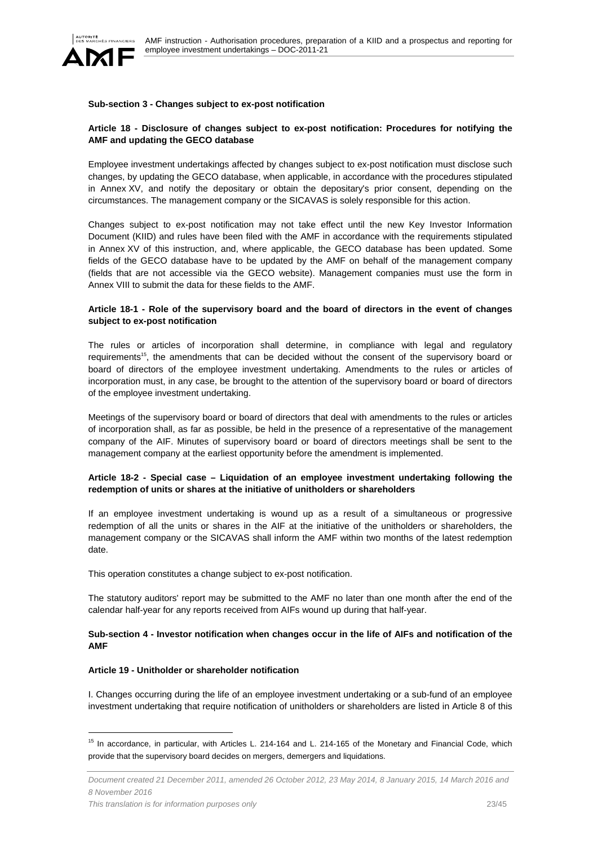

### **Sub-section 3 - Changes subject to ex-post notification**

### **Article 18 - Disclosure of changes subject to ex-post notification: Procedures for notifying the AMF and updating the GECO database**

Employee investment undertakings affected by changes subject to ex-post notification must disclose such changes, by updating the GECO database, when applicable, in accordance with the procedures stipulated in Annex XV, and notify the depositary or obtain the depositary's prior consent, depending on the circumstances. The management company or the SICAVAS is solely responsible for this action.

Changes subject to ex-post notification may not take effect until the new Key Investor Information Document (KIID) and rules have been filed with the AMF in accordance with the requirements stipulated in Annex XV of this instruction, and, where applicable, the GECO database has been updated. Some fields of the GECO database have to be updated by the AMF on behalf of the management company (fields that are not accessible via the GECO website). Management companies must use the form in Annex VIII to submit the data for these fields to the AMF.

### **Article 18-1 - Role of the supervisory board and the board of directors in the event of changes subject to ex-post notification**

The rules or articles of incorporation shall determine, in compliance with legal and regulatory requirements<sup>15</sup>, the amendments that can be decided without the consent of the supervisory board or board of directors of the employee investment undertaking. Amendments to the rules or articles of incorporation must, in any case, be brought to the attention of the supervisory board or board of directors of the employee investment undertaking.

Meetings of the supervisory board or board of directors that deal with amendments to the rules or articles of incorporation shall, as far as possible, be held in the presence of a representative of the management company of the AIF. Minutes of supervisory board or board of directors meetings shall be sent to the management company at the earliest opportunity before the amendment is implemented.

### **Article 18-2 - Special case – Liquidation of an employee investment undertaking following the redemption of units or shares at the initiative of unitholders or shareholders**

If an employee investment undertaking is wound up as a result of a simultaneous or progressive redemption of all the units or shares in the AIF at the initiative of the unitholders or shareholders, the management company or the SICAVAS shall inform the AMF within two months of the latest redemption date.

This operation constitutes a change subject to ex-post notification.

The statutory auditors' report may be submitted to the AMF no later than one month after the end of the calendar half-year for any reports received from AIFs wound up during that half-year.

### **Sub-section 4 - Investor notification when changes occur in the life of AIFs and notification of the AMF**

#### **Article 19 - Unitholder or shareholder notification**

 $\overline{a}$ 

I. Changes occurring during the life of an employee investment undertaking or a sub-fund of an employee investment undertaking that require notification of unitholders or shareholders are listed in Article 8 of this

<sup>&</sup>lt;sup>15</sup> In accordance, in particular, with Articles L. 214-164 and L. 214-165 of the Monetary and Financial Code, which provide that the supervisory board decides on mergers, demergers and liquidations.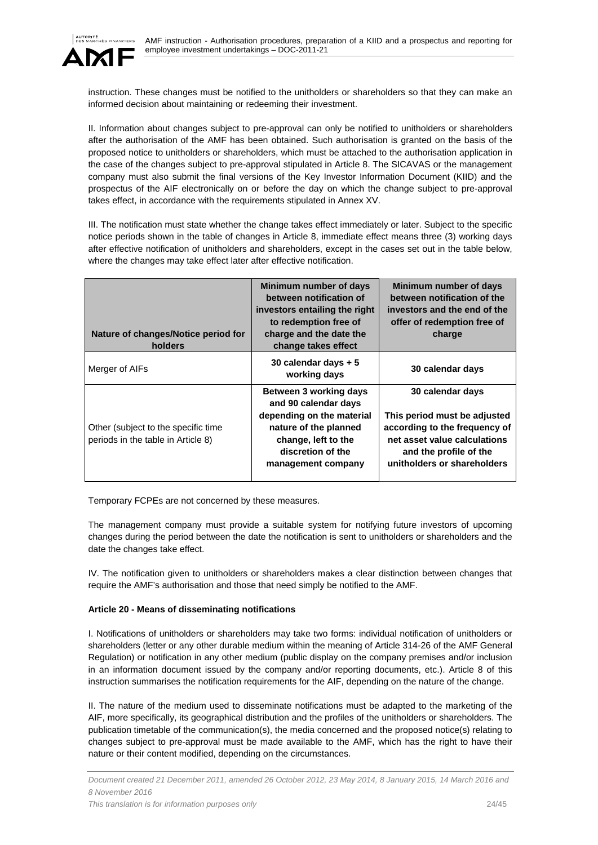

instruction. These changes must be notified to the unitholders or shareholders so that they can make an informed decision about maintaining or redeeming their investment.

II. Information about changes subject to pre-approval can only be notified to unitholders or shareholders after the authorisation of the AMF has been obtained. Such authorisation is granted on the basis of the proposed notice to unitholders or shareholders, which must be attached to the authorisation application in the case of the changes subject to pre-approval stipulated in Article 8. The SICAVAS or the management company must also submit the final versions of the Key Investor Information Document (KIID) and the prospectus of the AIF electronically on or before the day on which the change subject to pre-approval takes effect, in accordance with the requirements stipulated in Annex XV.

III. The notification must state whether the change takes effect immediately or later. Subject to the specific notice periods shown in the table of changes in Article 8, immediate effect means three (3) working days after effective notification of unitholders and shareholders, except in the cases set out in the table below, where the changes may take effect later after effective notification.

| Nature of changes/Notice period for<br>holders                            | Minimum number of days<br>between notification of<br>investors entailing the right<br>to redemption free of<br>charge and the date the<br>change takes effect          | Minimum number of days<br>between notification of the<br>investors and the end of the<br>offer of redemption free of<br>charge                                             |
|---------------------------------------------------------------------------|------------------------------------------------------------------------------------------------------------------------------------------------------------------------|----------------------------------------------------------------------------------------------------------------------------------------------------------------------------|
| Merger of AIFs                                                            | 30 calendar days + 5<br>working days                                                                                                                                   | 30 calendar days                                                                                                                                                           |
| Other (subject to the specific time<br>periods in the table in Article 8) | Between 3 working days<br>and 90 calendar days<br>depending on the material<br>nature of the planned<br>change, left to the<br>discretion of the<br>management company | 30 calendar days<br>This period must be adjusted<br>according to the frequency of<br>net asset value calculations<br>and the profile of the<br>unitholders or shareholders |

Temporary FCPEs are not concerned by these measures.

The management company must provide a suitable system for notifying future investors of upcoming changes during the period between the date the notification is sent to unitholders or shareholders and the date the changes take effect.

IV. The notification given to unitholders or shareholders makes a clear distinction between changes that require the AMF's authorisation and those that need simply be notified to the AMF.

# **Article 20 - Means of disseminating notifications**

I. Notifications of unitholders or shareholders may take two forms: individual notification of unitholders or shareholders (letter or any other durable medium within the meaning of Article 314-26 of the AMF General Regulation) or notification in any other medium (public display on the company premises and/or inclusion in an information document issued by the company and/or reporting documents, etc.). Article 8 of this instruction summarises the notification requirements for the AIF, depending on the nature of the change.

II. The nature of the medium used to disseminate notifications must be adapted to the marketing of the AIF, more specifically, its geographical distribution and the profiles of the unitholders or shareholders. The publication timetable of the communication(s), the media concerned and the proposed notice(s) relating to changes subject to pre-approval must be made available to the AMF, which has the right to have their nature or their content modified, depending on the circumstances.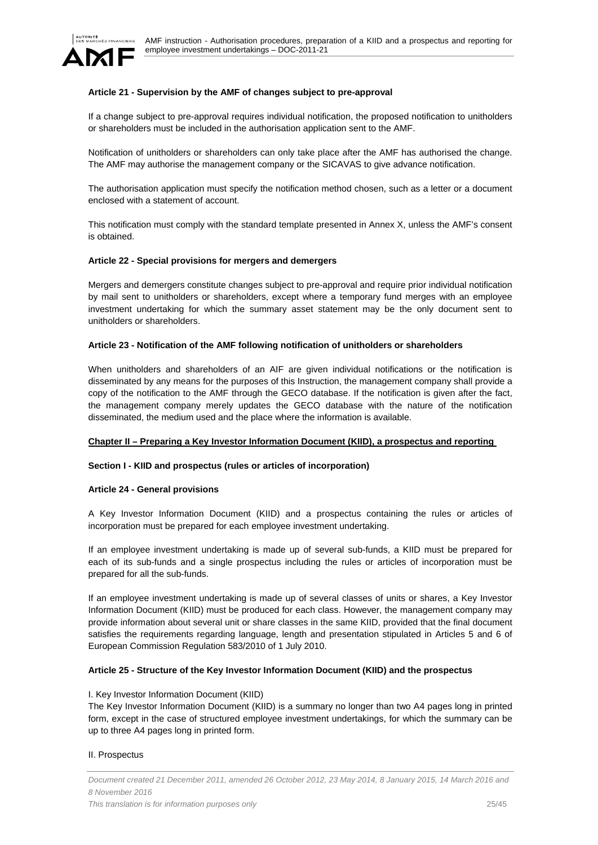

### **Article 21 - Supervision by the AMF of changes subject to pre-approval**

If a change subject to pre-approval requires individual notification, the proposed notification to unitholders or shareholders must be included in the authorisation application sent to the AMF.

Notification of unitholders or shareholders can only take place after the AMF has authorised the change. The AMF may authorise the management company or the SICAVAS to give advance notification.

The authorisation application must specify the notification method chosen, such as a letter or a document enclosed with a statement of account.

This notification must comply with the standard template presented in Annex X, unless the AMF's consent is obtained.

### **Article 22 - Special provisions for mergers and demergers**

Mergers and demergers constitute changes subject to pre-approval and require prior individual notification by mail sent to unitholders or shareholders, except where a temporary fund merges with an employee investment undertaking for which the summary asset statement may be the only document sent to unitholders or shareholders.

#### **Article 23 - Notification of the AMF following notification of unitholders or shareholders**

When unitholders and shareholders of an AIF are given individual notifications or the notification is disseminated by any means for the purposes of this Instruction, the management company shall provide a copy of the notification to the AMF through the GECO database. If the notification is given after the fact, the management company merely updates the GECO database with the nature of the notification disseminated, the medium used and the place where the information is available.

#### **Chapter II – Preparing a Key Investor Information Document (KIID), a prospectus and reporting**

#### **Section I - KIID and prospectus (rules or articles of incorporation)**

#### **Article 24 - General provisions**

A Key Investor Information Document (KIID) and a prospectus containing the rules or articles of incorporation must be prepared for each employee investment undertaking.

If an employee investment undertaking is made up of several sub-funds, a KIID must be prepared for each of its sub-funds and a single prospectus including the rules or articles of incorporation must be prepared for all the sub-funds.

If an employee investment undertaking is made up of several classes of units or shares, a Key Investor Information Document (KIID) must be produced for each class. However, the management company may provide information about several unit or share classes in the same KIID, provided that the final document satisfies the requirements regarding language, length and presentation stipulated in Articles 5 and 6 of European Commission Regulation 583/2010 of 1 July 2010.

#### **Article 25 - Structure of the Key Investor Information Document (KIID) and the prospectus**

#### I. Key Investor Information Document (KIID)

The Key Investor Information Document (KIID) is a summary no longer than two A4 pages long in printed form, except in the case of structured employee investment undertakings, for which the summary can be up to three A4 pages long in printed form.

### II. Prospectus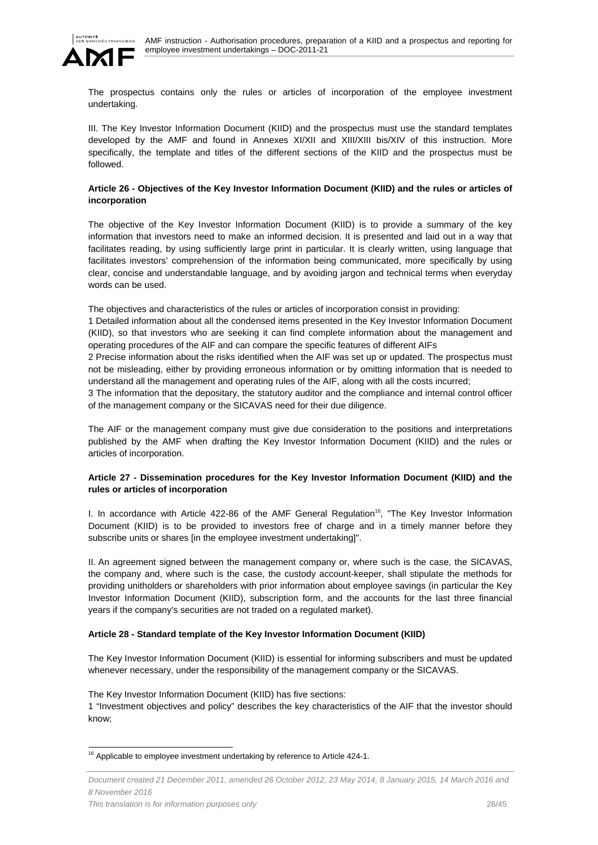

The prospectus contains only the rules or articles of incorporation of the employee investment undertaking.

III. The Key Investor Information Document (KIID) and the prospectus must use the standard templates developed by the AMF and found in Annexes XI/XII and XIII/XIII bis/XIV of this instruction. More specifically, the template and titles of the different sections of the KIID and the prospectus must be followed.

# **Article 26 - Objectives of the Key Investor Information Document (KIID) and the rules or articles of incorporation**

The objective of the Key Investor Information Document (KIID) is to provide a summary of the key information that investors need to make an informed decision. It is presented and laid out in a way that facilitates reading, by using sufficiently large print in particular. It is clearly written, using language that facilitates investors' comprehension of the information being communicated, more specifically by using clear, concise and understandable language, and by avoiding jargon and technical terms when everyday words can be used.

The objectives and characteristics of the rules or articles of incorporation consist in providing:

1 Detailed information about all the condensed items presented in the Key Investor Information Document (KIID), so that investors who are seeking it can find complete information about the management and operating procedures of the AIF and can compare the specific features of different AIFs

2 Precise information about the risks identified when the AIF was set up or updated. The prospectus must not be misleading, either by providing erroneous information or by omitting information that is needed to understand all the management and operating rules of the AIF, along with all the costs incurred;

3 The information that the depositary, the statutory auditor and the compliance and internal control officer of the management company or the SICAVAS need for their due diligence.

The AIF or the management company must give due consideration to the positions and interpretations published by the AMF when drafting the Key Investor Information Document (KIID) and the rules or articles of incorporation.

# **Article 27 - Dissemination procedures for the Key Investor Information Document (KIID) and the rules or articles of incorporation**

I. In accordance with Article 422-86 of the AMF General Regulation<sup>16</sup>, "The Key Investor Information Document (KIID) is to be provided to investors free of charge and in a timely manner before they subscribe units or shares [in the employee investment undertaking]".

II. An agreement signed between the management company or, where such is the case, the SICAVAS, the company and, where such is the case, the custody account-keeper, shall stipulate the methods for providing unitholders or shareholders with prior information about employee savings (in particular the Key Investor Information Document (KIID), subscription form, and the accounts for the last three financial years if the company's securities are not traded on a regulated market).

# **Article 28 - Standard template of the Key Investor Information Document (KIID)**

The Key Investor Information Document (KIID) is essential for informing subscribers and must be updated whenever necessary, under the responsibility of the management company or the SICAVAS.

The Key Investor Information Document (KIID) has five sections:

1 "Investment objectives and policy" describes the key characteristics of the AIF that the investor should know;

l

 $16$  Applicable to employee investment undertaking by reference to Article 424-1.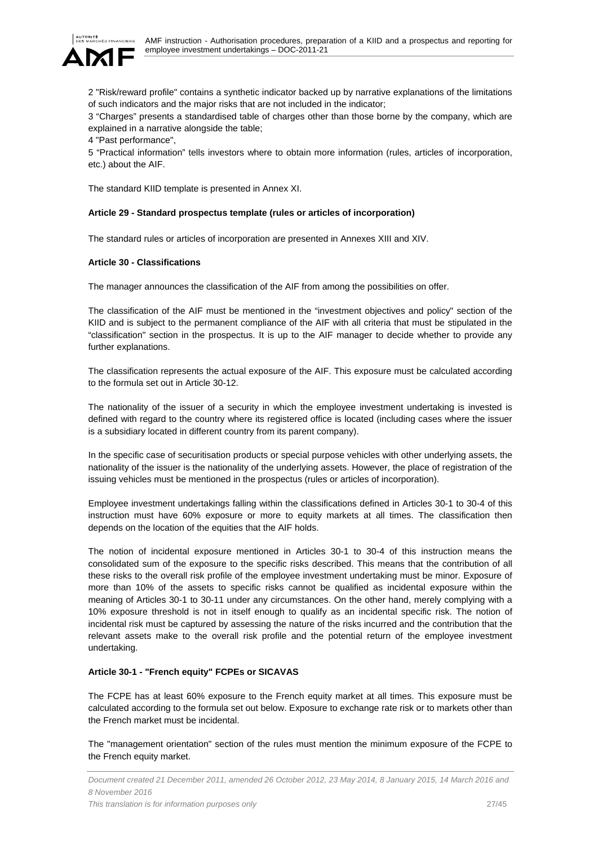

2 "Risk/reward profile" contains a synthetic indicator backed up by narrative explanations of the limitations of such indicators and the major risks that are not included in the indicator;

3 "Charges" presents a standardised table of charges other than those borne by the company, which are explained in a narrative alongside the table;

4 "Past performance",

5 "Practical information" tells investors where to obtain more information (rules, articles of incorporation, etc.) about the AIF.

The standard KIID template is presented in Annex XI.

### **Article 29 - Standard prospectus template (rules or articles of incorporation)**

The standard rules or articles of incorporation are presented in Annexes XIII and XIV.

### **Article 30 - Classifications**

The manager announces the classification of the AIF from among the possibilities on offer.

The classification of the AIF must be mentioned in the "investment objectives and policy" section of the KIID and is subject to the permanent compliance of the AIF with all criteria that must be stipulated in the "classification" section in the prospectus. It is up to the AIF manager to decide whether to provide any further explanations.

The classification represents the actual exposure of the AIF. This exposure must be calculated according to the formula set out in Article 30-12.

The nationality of the issuer of a security in which the employee investment undertaking is invested is defined with regard to the country where its registered office is located (including cases where the issuer is a subsidiary located in different country from its parent company).

In the specific case of securitisation products or special purpose vehicles with other underlying assets, the nationality of the issuer is the nationality of the underlying assets. However, the place of registration of the issuing vehicles must be mentioned in the prospectus (rules or articles of incorporation).

Employee investment undertakings falling within the classifications defined in Articles 30-1 to 30-4 of this instruction must have 60% exposure or more to equity markets at all times. The classification then depends on the location of the equities that the AIF holds.

The notion of incidental exposure mentioned in Articles 30-1 to 30-4 of this instruction means the consolidated sum of the exposure to the specific risks described. This means that the contribution of all these risks to the overall risk profile of the employee investment undertaking must be minor. Exposure of more than 10% of the assets to specific risks cannot be qualified as incidental exposure within the meaning of Articles 30-1 to 30-11 under any circumstances. On the other hand, merely complying with a 10% exposure threshold is not in itself enough to qualify as an incidental specific risk. The notion of incidental risk must be captured by assessing the nature of the risks incurred and the contribution that the relevant assets make to the overall risk profile and the potential return of the employee investment undertaking.

# **Article 30-1 - "French equity" FCPEs or SICAVAS**

The FCPE has at least 60% exposure to the French equity market at all times. This exposure must be calculated according to the formula set out below. Exposure to exchange rate risk or to markets other than the French market must be incidental.

The "management orientation" section of the rules must mention the minimum exposure of the FCPE to the French equity market.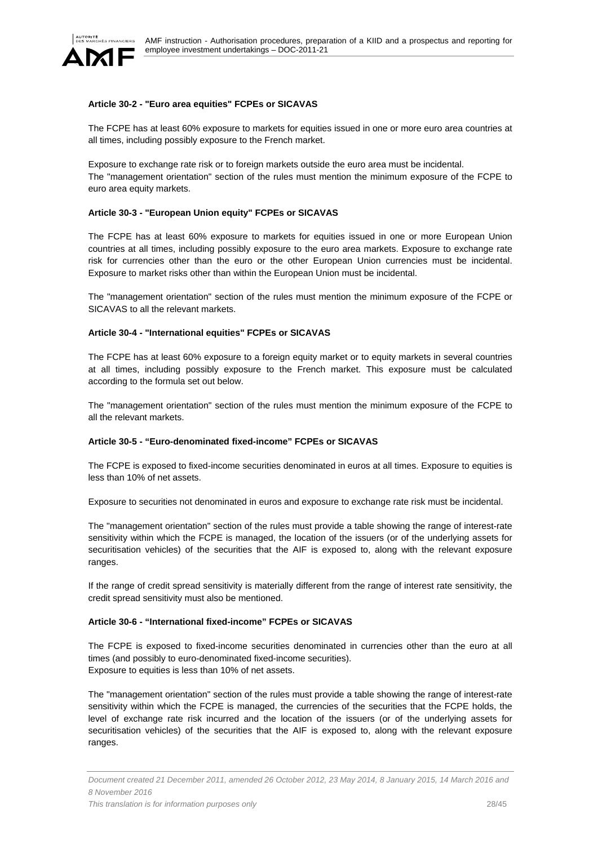

### **Article 30-2 - "Euro area equities" FCPEs or SICAVAS**

The FCPE has at least 60% exposure to markets for equities issued in one or more euro area countries at all times, including possibly exposure to the French market.

Exposure to exchange rate risk or to foreign markets outside the euro area must be incidental. The "management orientation" section of the rules must mention the minimum exposure of the FCPE to euro area equity markets.

### **Article 30-3 - "European Union equity" FCPEs or SICAVAS**

The FCPE has at least 60% exposure to markets for equities issued in one or more European Union countries at all times, including possibly exposure to the euro area markets. Exposure to exchange rate risk for currencies other than the euro or the other European Union currencies must be incidental. Exposure to market risks other than within the European Union must be incidental.

The "management orientation" section of the rules must mention the minimum exposure of the FCPE or SICAVAS to all the relevant markets.

### **Article 30-4 - "International equities" FCPEs or SICAVAS**

The FCPE has at least 60% exposure to a foreign equity market or to equity markets in several countries at all times, including possibly exposure to the French market. This exposure must be calculated according to the formula set out below.

The "management orientation" section of the rules must mention the minimum exposure of the FCPE to all the relevant markets.

### **Article 30-5 - "Euro-denominated fixed-income" FCPEs or SICAVAS**

The FCPE is exposed to fixed-income securities denominated in euros at all times. Exposure to equities is less than 10% of net assets.

Exposure to securities not denominated in euros and exposure to exchange rate risk must be incidental.

The "management orientation" section of the rules must provide a table showing the range of interest-rate sensitivity within which the FCPE is managed, the location of the issuers (or of the underlying assets for securitisation vehicles) of the securities that the AIF is exposed to, along with the relevant exposure ranges.

If the range of credit spread sensitivity is materially different from the range of interest rate sensitivity, the credit spread sensitivity must also be mentioned.

### **Article 30-6 - "International fixed-income" FCPEs or SICAVAS**

The FCPE is exposed to fixed-income securities denominated in currencies other than the euro at all times (and possibly to euro-denominated fixed-income securities). Exposure to equities is less than 10% of net assets.

The "management orientation" section of the rules must provide a table showing the range of interest-rate sensitivity within which the FCPE is managed, the currencies of the securities that the FCPE holds, the level of exchange rate risk incurred and the location of the issuers (or of the underlying assets for securitisation vehicles) of the securities that the AIF is exposed to, along with the relevant exposure ranges.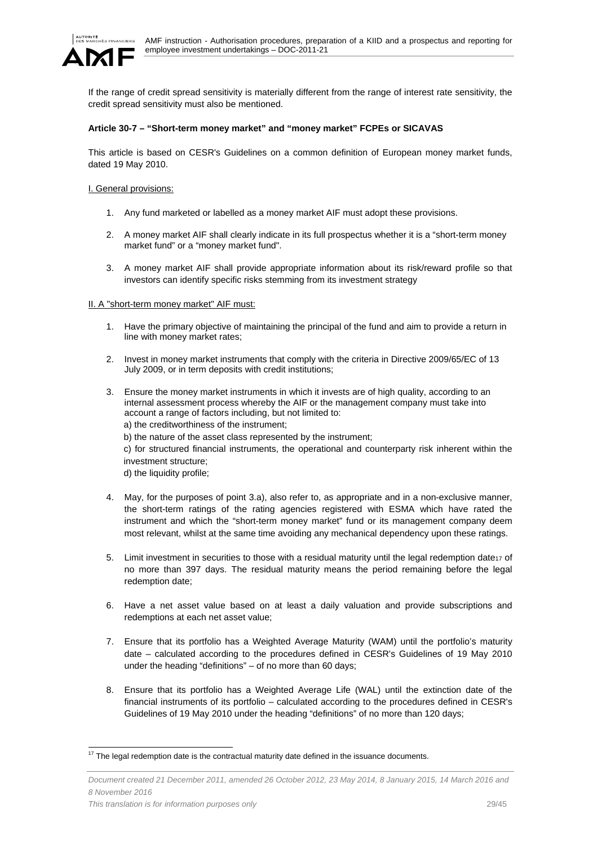

If the range of credit spread sensitivity is materially different from the range of interest rate sensitivity, the credit spread sensitivity must also be mentioned.

### **Article 30-7 – "Short-term money market" and "money market" FCPEs or SICAVAS**

This article is based on CESR's Guidelines on a common definition of European money market funds, dated 19 May 2010.

I. General provisions:

- 1. Any fund marketed or labelled as a money market AIF must adopt these provisions.
- 2. A money market AIF shall clearly indicate in its full prospectus whether it is a "short-term money market fund" or a "money market fund".
- 3. A money market AIF shall provide appropriate information about its risk/reward profile so that investors can identify specific risks stemming from its investment strategy

### II. A "short-term money market" AIF must:

- 1. Have the primary objective of maintaining the principal of the fund and aim to provide a return in line with money market rates;
- 2. Invest in money market instruments that comply with the criteria in Directive 2009/65/EC of 13 July 2009, or in term deposits with credit institutions;
- 3. Ensure the money market instruments in which it invests are of high quality, according to an internal assessment process whereby the AIF or the management company must take into account a range of factors including, but not limited to:
	- a) the creditworthiness of the instrument;
	- b) the nature of the asset class represented by the instrument;

c) for structured financial instruments, the operational and counterparty risk inherent within the investment structure;

d) the liquidity profile;

- 4. May, for the purposes of point 3.a), also refer to, as appropriate and in a non-exclusive manner, the short-term ratings of the rating agencies registered with ESMA which have rated the instrument and which the "short-term money market" fund or its management company deem most relevant, whilst at the same time avoiding any mechanical dependency upon these ratings.
- 5. Limit investment in securities to those with a residual maturity until the legal redemption date17 of no more than 397 days. The residual maturity means the period remaining before the legal redemption date;
- 6. Have a net asset value based on at least a daily valuation and provide subscriptions and redemptions at each net asset value;
- 7. Ensure that its portfolio has a Weighted Average Maturity (WAM) until the portfolio's maturity date – calculated according to the procedures defined in CESR's Guidelines of 19 May 2010 under the heading "definitions" – of no more than 60 days;
- 8. Ensure that its portfolio has a Weighted Average Life (WAL) until the extinction date of the financial instruments of its portfolio – calculated according to the procedures defined in CESR's Guidelines of 19 May 2010 under the heading "definitions" of no more than 120 days;

l  $17$  The legal redemption date is the contractual maturity date defined in the issuance documents.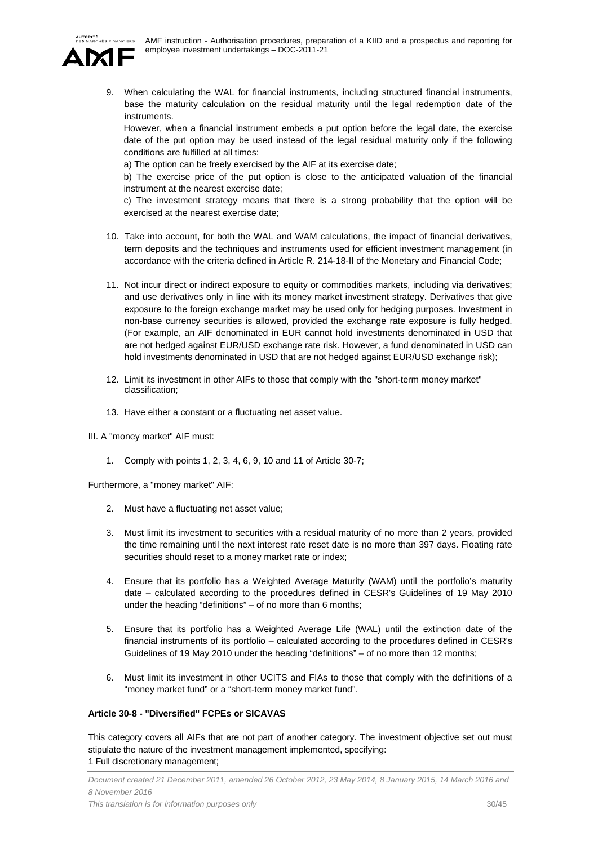

9. When calculating the WAL for financial instruments, including structured financial instruments, base the maturity calculation on the residual maturity until the legal redemption date of the instruments.

However, when a financial instrument embeds a put option before the legal date, the exercise date of the put option may be used instead of the legal residual maturity only if the following conditions are fulfilled at all times:

a) The option can be freely exercised by the AIF at its exercise date;

b) The exercise price of the put option is close to the anticipated valuation of the financial instrument at the nearest exercise date;

c) The investment strategy means that there is a strong probability that the option will be exercised at the nearest exercise date;

- 10. Take into account, for both the WAL and WAM calculations, the impact of financial derivatives, term deposits and the techniques and instruments used for efficient investment management (in accordance with the criteria defined in Article R. 214-18-II of the Monetary and Financial Code;
- 11. Not incur direct or indirect exposure to equity or commodities markets, including via derivatives; and use derivatives only in line with its money market investment strategy. Derivatives that give exposure to the foreign exchange market may be used only for hedging purposes. Investment in non-base currency securities is allowed, provided the exchange rate exposure is fully hedged. (For example, an AIF denominated in EUR cannot hold investments denominated in USD that are not hedged against EUR/USD exchange rate risk. However, a fund denominated in USD can hold investments denominated in USD that are not hedged against EUR/USD exchange risk);
- 12. Limit its investment in other AIFs to those that comply with the "short-term money market" classification;
- 13. Have either a constant or a fluctuating net asset value.

# III. A "money market" AIF must:

1. Comply with points 1, 2, 3, 4, 6, 9, 10 and 11 of Article 30-7;

Furthermore, a "money market" AIF:

- 2. Must have a fluctuating net asset value;
- 3. Must limit its investment to securities with a residual maturity of no more than 2 years, provided the time remaining until the next interest rate reset date is no more than 397 days. Floating rate securities should reset to a money market rate or index;
- 4. Ensure that its portfolio has a Weighted Average Maturity (WAM) until the portfolio's maturity date – calculated according to the procedures defined in CESR's Guidelines of 19 May 2010 under the heading "definitions" – of no more than 6 months;
- 5. Ensure that its portfolio has a Weighted Average Life (WAL) until the extinction date of the financial instruments of its portfolio – calculated according to the procedures defined in CESR's Guidelines of 19 May 2010 under the heading "definitions" – of no more than 12 months;
- 6. Must limit its investment in other UCITS and FIAs to those that comply with the definitions of a "money market fund" or a "short-term money market fund".

# **Article 30-8 - "Diversified" FCPEs or SICAVAS**

This category covers all AIFs that are not part of another category. The investment objective set out must stipulate the nature of the investment management implemented, specifying: 1 Full discretionary management;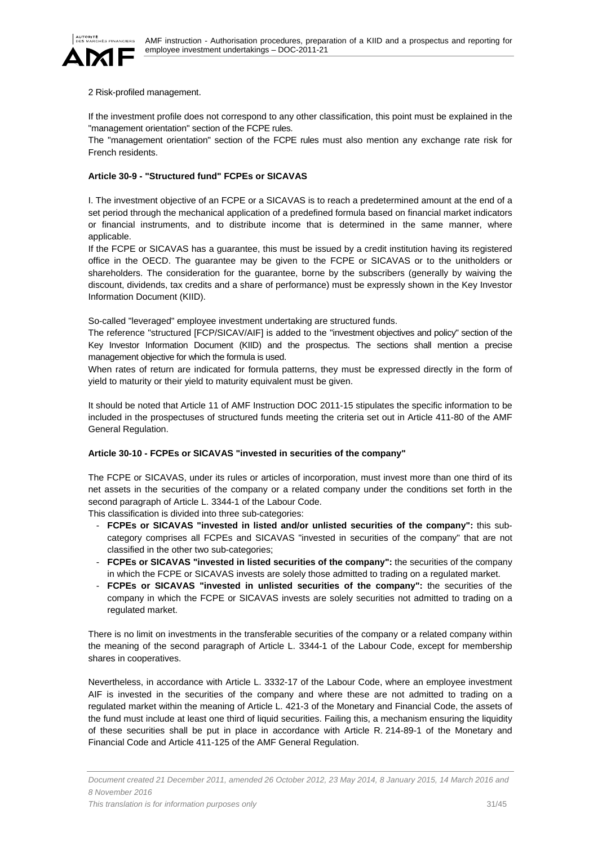

### 2 Risk-profiled management.

If the investment profile does not correspond to any other classification, this point must be explained in the "management orientation" section of the FCPE rules.

The "management orientation" section of the FCPE rules must also mention any exchange rate risk for French residents.

# **Article 30-9 - "Structured fund" FCPEs or SICAVAS**

I. The investment objective of an FCPE or a SICAVAS is to reach a predetermined amount at the end of a set period through the mechanical application of a predefined formula based on financial market indicators or financial instruments, and to distribute income that is determined in the same manner, where applicable.

If the FCPE or SICAVAS has a guarantee, this must be issued by a credit institution having its registered office in the OECD. The guarantee may be given to the FCPE or SICAVAS or to the unitholders or shareholders. The consideration for the guarantee, borne by the subscribers (generally by waiving the discount, dividends, tax credits and a share of performance) must be expressly shown in the Key Investor Information Document (KIID).

So-called "leveraged" employee investment undertaking are structured funds.

The reference "structured [FCP/SICAV/AIF] is added to the "investment objectives and policy" section of the Key Investor Information Document (KIID) and the prospectus. The sections shall mention a precise management objective for which the formula is used.

When rates of return are indicated for formula patterns, they must be expressed directly in the form of yield to maturity or their yield to maturity equivalent must be given.

It should be noted that Article 11 of AMF Instruction DOC 2011-15 stipulates the specific information to be included in the prospectuses of structured funds meeting the criteria set out in Article 411-80 of the AMF General Regulation.

# **Article 30-10 - FCPEs or SICAVAS "invested in securities of the company"**

The FCPE or SICAVAS, under its rules or articles of incorporation, must invest more than one third of its net assets in the securities of the company or a related company under the conditions set forth in the second paragraph of Article L. 3344-1 of the Labour Code.

This classification is divided into three sub-categories:

- **FCPEs or SICAVAS "invested in listed and/or unlisted securities of the company":** this subcategory comprises all FCPEs and SICAVAS "invested in securities of the company" that are not classified in the other two sub-categories;
- **FCPEs or SICAVAS "invested in listed securities of the company":** the securities of the company in which the FCPE or SICAVAS invests are solely those admitted to trading on a regulated market.
- **FCPEs or SICAVAS "invested in unlisted securities of the company":** the securities of the company in which the FCPE or SICAVAS invests are solely securities not admitted to trading on a regulated market.

There is no limit on investments in the transferable securities of the company or a related company within the meaning of the second paragraph of Article L. 3344-1 of the Labour Code, except for membership shares in cooperatives.

Nevertheless, in accordance with Article L. 3332-17 of the Labour Code, where an employee investment AIF is invested in the securities of the company and where these are not admitted to trading on a regulated market within the meaning of Article L. 421-3 of the Monetary and Financial Code, the assets of the fund must include at least one third of liquid securities. Failing this, a mechanism ensuring the liquidity of these securities shall be put in place in accordance with Article R. 214-89-1 of the Monetary and Financial Code and Article 411-125 of the AMF General Regulation.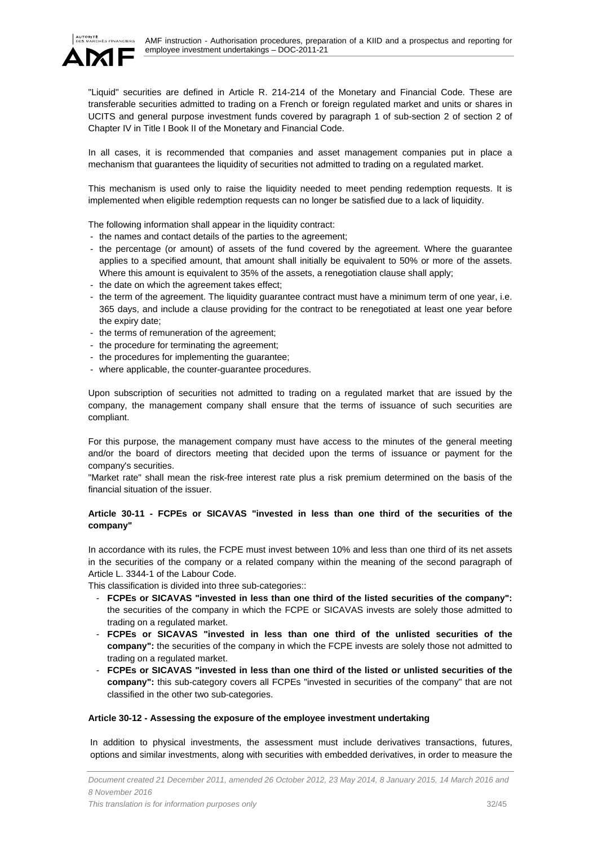

"Liquid" securities are defined in Article R. 214-214 of the Monetary and Financial Code. These are transferable securities admitted to trading on a French or foreign regulated market and units or shares in UCITS and general purpose investment funds covered by paragraph 1 of sub-section 2 of section 2 of Chapter IV in Title I Book II of the Monetary and Financial Code.

In all cases, it is recommended that companies and asset management companies put in place a mechanism that guarantees the liquidity of securities not admitted to trading on a regulated market.

This mechanism is used only to raise the liquidity needed to meet pending redemption requests. It is implemented when eligible redemption requests can no longer be satisfied due to a lack of liquidity.

The following information shall appear in the liquidity contract:

- the names and contact details of the parties to the agreement;
- the percentage (or amount) of assets of the fund covered by the agreement. Where the guarantee applies to a specified amount, that amount shall initially be equivalent to 50% or more of the assets. Where this amount is equivalent to 35% of the assets, a renegotiation clause shall apply;
- the date on which the agreement takes effect;
- the term of the agreement. The liquidity guarantee contract must have a minimum term of one year, i.e. 365 days, and include a clause providing for the contract to be renegotiated at least one year before the expiry date;
- the terms of remuneration of the agreement;
- the procedure for terminating the agreement;
- the procedures for implementing the guarantee;
- where applicable, the counter-guarantee procedures.

Upon subscription of securities not admitted to trading on a regulated market that are issued by the company, the management company shall ensure that the terms of issuance of such securities are compliant.

For this purpose, the management company must have access to the minutes of the general meeting and/or the board of directors meeting that decided upon the terms of issuance or payment for the company's securities.

"Market rate" shall mean the risk-free interest rate plus a risk premium determined on the basis of the financial situation of the issuer.

# **Article 30-11 - FCPEs or SICAVAS "invested in less than one third of the securities of the company"**

In accordance with its rules, the FCPE must invest between 10% and less than one third of its net assets in the securities of the company or a related company within the meaning of the second paragraph of Article L. 3344-1 of the Labour Code.

This classification is divided into three sub-categories::

- **FCPEs or SICAVAS "invested in less than one third of the listed securities of the company":** the securities of the company in which the FCPE or SICAVAS invests are solely those admitted to trading on a regulated market.
- **FCPEs or SICAVAS "invested in less than one third of the unlisted securities of the company":** the securities of the company in which the FCPE invests are solely those not admitted to trading on a regulated market.
- **FCPEs or SICAVAS "invested in less than one third of the listed or unlisted securities of the company":** this sub-category covers all FCPEs "invested in securities of the company" that are not classified in the other two sub-categories.

### **Article 30-12 - Assessing the exposure of the employee investment undertaking**

In addition to physical investments, the assessment must include derivatives transactions, futures, options and similar investments, along with securities with embedded derivatives, in order to measure the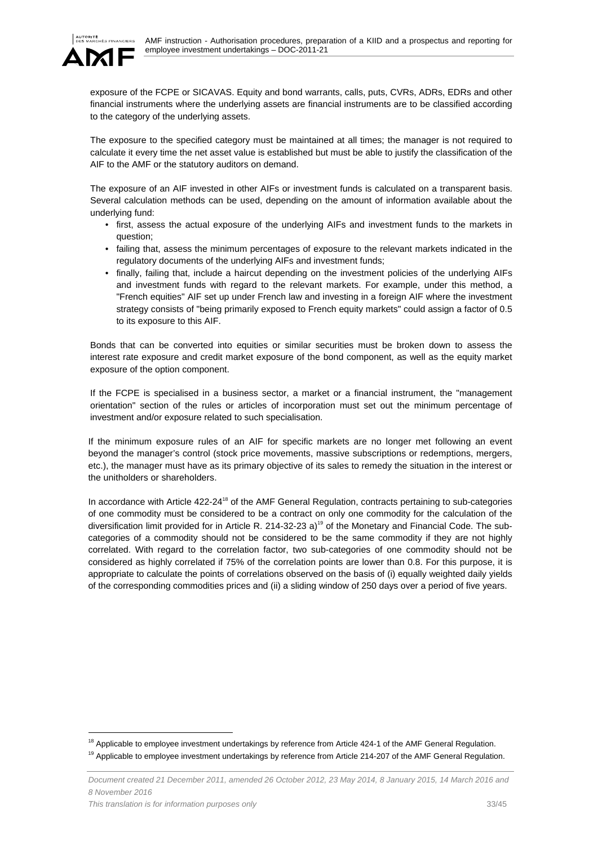

 $\overline{a}$ 

exposure of the FCPE or SICAVAS. Equity and bond warrants, calls, puts, CVRs, ADRs, EDRs and other financial instruments where the underlying assets are financial instruments are to be classified according to the category of the underlying assets.

The exposure to the specified category must be maintained at all times; the manager is not required to calculate it every time the net asset value is established but must be able to justify the classification of the AIF to the AMF or the statutory auditors on demand.

The exposure of an AIF invested in other AIFs or investment funds is calculated on a transparent basis. Several calculation methods can be used, depending on the amount of information available about the underlying fund:

- first, assess the actual exposure of the underlying AIFs and investment funds to the markets in question;
- failing that, assess the minimum percentages of exposure to the relevant markets indicated in the regulatory documents of the underlying AIFs and investment funds;
- finally, failing that, include a haircut depending on the investment policies of the underlying AIFs and investment funds with regard to the relevant markets. For example, under this method, a "French equities" AIF set up under French law and investing in a foreign AIF where the investment strategy consists of "being primarily exposed to French equity markets" could assign a factor of 0.5 to its exposure to this AIF.

Bonds that can be converted into equities or similar securities must be broken down to assess the interest rate exposure and credit market exposure of the bond component, as well as the equity market exposure of the option component.

If the FCPE is specialised in a business sector, a market or a financial instrument, the "management orientation" section of the rules or articles of incorporation must set out the minimum percentage of investment and/or exposure related to such specialisation.

If the minimum exposure rules of an AIF for specific markets are no longer met following an event beyond the manager's control (stock price movements, massive subscriptions or redemptions, mergers, etc.), the manager must have as its primary objective of its sales to remedy the situation in the interest or the unitholders or shareholders.

In accordance with Article 422-24<sup>18</sup> of the AMF General Regulation, contracts pertaining to sub-categories of one commodity must be considered to be a contract on only one commodity for the calculation of the diversification limit provided for in Article R. 214-32-23 a)<sup>19</sup> of the Monetary and Financial Code. The subcategories of a commodity should not be considered to be the same commodity if they are not highly correlated. With regard to the correlation factor, two sub-categories of one commodity should not be considered as highly correlated if 75% of the correlation points are lower than 0.8. For this purpose, it is appropriate to calculate the points of correlations observed on the basis of (i) equally weighted daily yields of the corresponding commodities prices and (ii) a sliding window of 250 days over a period of five years.

 $^{18}$  Applicable to employee investment undertakings by reference from Article 424-1 of the AMF General Regulation.<br><sup>19</sup> Applicable to employee investment undertakings by reference from Article 214-207 of the AMF General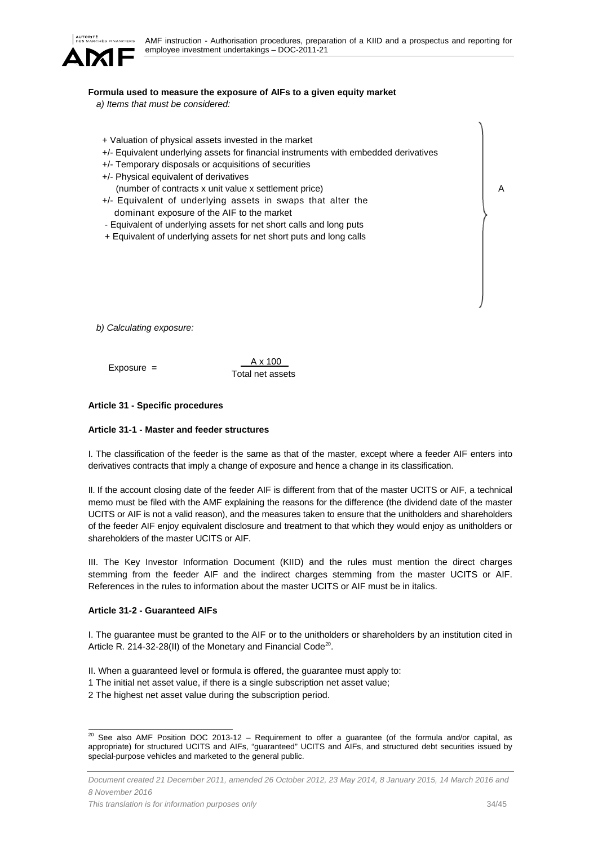

#### **Formula used to measure the exposure of AIFs to a given equity market**

*a) Items that must be considered:* 

+ Valuation of physical assets invested in the market +/- Equivalent underlying assets for financial instruments with embedded derivatives +/- Temporary disposals or acquisitions of securities +/- Physical equivalent of derivatives (number of contracts x unit value x settlement price) +/- Equivalent of underlying assets in swaps that alter the dominant exposure of the AIF to the market - Equivalent of underlying assets for net short calls and long puts + Equivalent of underlying assets for net short puts and long calls

*b) Calculating exposure:* 

Exposure =  $\frac{A \times 100}{A}$ Total net assets

#### **Article 31 - Specific procedures**

#### **Article 31-1 - Master and feeder structures**

I. The classification of the feeder is the same as that of the master, except where a feeder AIF enters into derivatives contracts that imply a change of exposure and hence a change in its classification.

II. If the account closing date of the feeder AIF is different from that of the master UCITS or AIF, a technical memo must be filed with the AMF explaining the reasons for the difference (the dividend date of the master UCITS or AIF is not a valid reason), and the measures taken to ensure that the unitholders and shareholders of the feeder AIF enjoy equivalent disclosure and treatment to that which they would enjoy as unitholders or shareholders of the master UCITS or AIF.

III. The Key Investor Information Document (KIID) and the rules must mention the direct charges stemming from the feeder AIF and the indirect charges stemming from the master UCITS or AIF. References in the rules to information about the master UCITS or AIF must be in italics.

#### **Article 31-2 - Guaranteed AIFs**

I. The guarantee must be granted to the AIF or to the unitholders or shareholders by an institution cited in Article R. 214-32-28(II) of the Monetary and Financial Code<sup>20</sup>.

- II. When a guaranteed level or formula is offered, the guarantee must apply to:
- 1 The initial net asset value, if there is a single subscription net asset value;
- 2 The highest net asset value during the subscription period.

A

 $\overline{a}$  $^{20}$  See also AMF Position DOC 2013-12 – Requirement to offer a guarantee (of the formula and/or capital, as appropriate) for structured UCITS and AIFs, "guaranteed" UCITS and AIFs, and structured debt securities issued by special-purpose vehicles and marketed to the general public.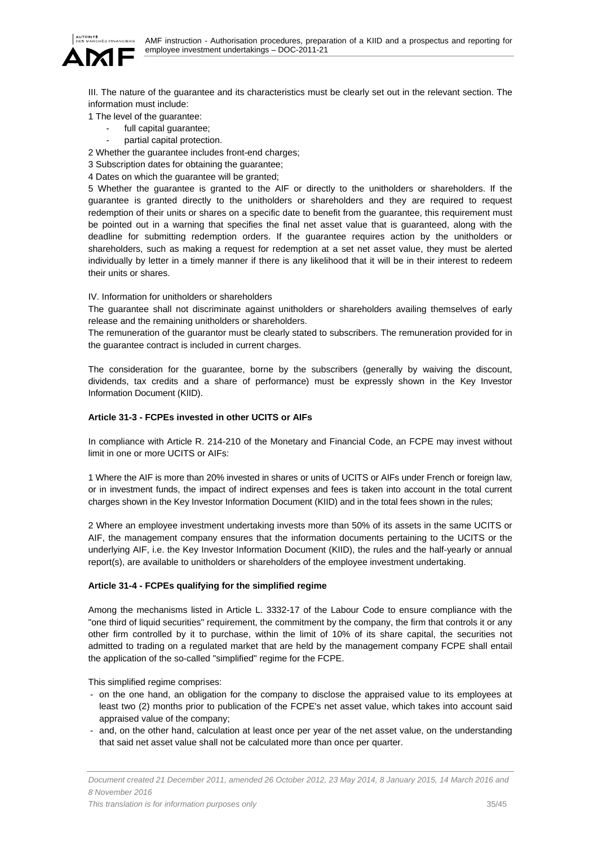

III. The nature of the guarantee and its characteristics must be clearly set out in the relevant section. The information must include:

1 The level of the guarantee:

- full capital quarantee;
	- partial capital protection.

2 Whether the guarantee includes front-end charges;

3 Subscription dates for obtaining the guarantee;

4 Dates on which the guarantee will be granted;

5 Whether the guarantee is granted to the AIF or directly to the unitholders or shareholders. If the guarantee is granted directly to the unitholders or shareholders and they are required to request redemption of their units or shares on a specific date to benefit from the guarantee, this requirement must be pointed out in a warning that specifies the final net asset value that is guaranteed, along with the deadline for submitting redemption orders. If the guarantee requires action by the unitholders or shareholders, such as making a request for redemption at a set net asset value, they must be alerted individually by letter in a timely manner if there is any likelihood that it will be in their interest to redeem their units or shares.

IV. Information for unitholders or shareholders

The guarantee shall not discriminate against unitholders or shareholders availing themselves of early release and the remaining unitholders or shareholders.

The remuneration of the guarantor must be clearly stated to subscribers. The remuneration provided for in the guarantee contract is included in current charges.

The consideration for the guarantee, borne by the subscribers (generally by waiving the discount, dividends, tax credits and a share of performance) must be expressly shown in the Key Investor Information Document (KIID).

# **Article 31-3 - FCPEs invested in other UCITS or AIFs**

In compliance with Article R. 214-210 of the Monetary and Financial Code, an FCPE may invest without limit in one or more UCITS or AIFs:

1 Where the AIF is more than 20% invested in shares or units of UCITS or AIFs under French or foreign law, or in investment funds, the impact of indirect expenses and fees is taken into account in the total current charges shown in the Key Investor Information Document (KIID) and in the total fees shown in the rules;

2 Where an employee investment undertaking invests more than 50% of its assets in the same UCITS or AIF, the management company ensures that the information documents pertaining to the UCITS or the underlying AIF, i.e. the Key Investor Information Document (KIID), the rules and the half-yearly or annual report(s), are available to unitholders or shareholders of the employee investment undertaking.

# **Article 31-4 - FCPEs qualifying for the simplified regime**

Among the mechanisms listed in Article L. 3332-17 of the Labour Code to ensure compliance with the "one third of liquid securities" requirement, the commitment by the company, the firm that controls it or any other firm controlled by it to purchase, within the limit of 10% of its share capital, the securities not admitted to trading on a regulated market that are held by the management company FCPE shall entail the application of the so-called "simplified" regime for the FCPE.

This simplified regime comprises:

- on the one hand, an obligation for the company to disclose the appraised value to its employees at least two (2) months prior to publication of the FCPE's net asset value, which takes into account said appraised value of the company;
- and, on the other hand, calculation at least once per year of the net asset value, on the understanding that said net asset value shall not be calculated more than once per quarter.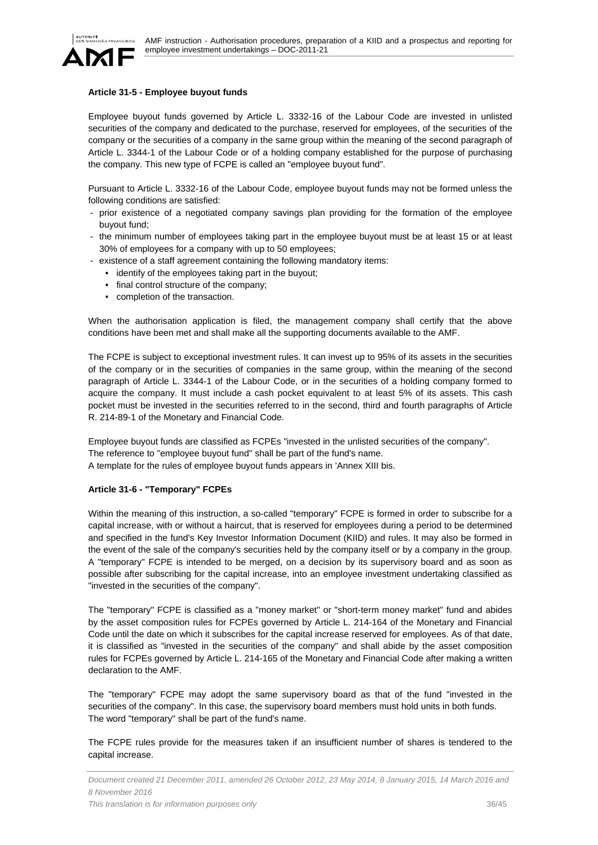

# **Article 31-5 - Employee buyout funds**

Employee buyout funds governed by Article L. 3332-16 of the Labour Code are invested in unlisted securities of the company and dedicated to the purchase, reserved for employees, of the securities of the company or the securities of a company in the same group within the meaning of the second paragraph of Article L. 3344-1 of the Labour Code or of a holding company established for the purpose of purchasing the company. This new type of FCPE is called an "employee buyout fund".

Pursuant to Article L. 3332-16 of the Labour Code, employee buyout funds may not be formed unless the following conditions are satisfied:

- prior existence of a negotiated company savings plan providing for the formation of the employee buyout fund;
- the minimum number of employees taking part in the employee buyout must be at least 15 or at least 30% of employees for a company with up to 50 employees;
- existence of a staff agreement containing the following mandatory items:
	- identify of the employees taking part in the buyout;
	- final control structure of the company;
	- completion of the transaction.

When the authorisation application is filed, the management company shall certify that the above conditions have been met and shall make all the supporting documents available to the AMF.

The FCPE is subject to exceptional investment rules. It can invest up to 95% of its assets in the securities of the company or in the securities of companies in the same group, within the meaning of the second paragraph of Article L. 3344-1 of the Labour Code, or in the securities of a holding company formed to acquire the company. It must include a cash pocket equivalent to at least 5% of its assets. This cash pocket must be invested in the securities referred to in the second, third and fourth paragraphs of Article R. 214-89-1 of the Monetary and Financial Code.

Employee buyout funds are classified as FCPEs "invested in the unlisted securities of the company". The reference to "employee buyout fund" shall be part of the fund's name. A template for the rules of employee buyout funds appears in 'Annex XIII bis.

### **Article 31-6 - "Temporary" FCPEs**

Within the meaning of this instruction, a so-called "temporary" FCPE is formed in order to subscribe for a capital increase, with or without a haircut, that is reserved for employees during a period to be determined and specified in the fund's Key Investor Information Document (KIID) and rules. It may also be formed in the event of the sale of the company's securities held by the company itself or by a company in the group. A "temporary" FCPE is intended to be merged, on a decision by its supervisory board and as soon as possible after subscribing for the capital increase, into an employee investment undertaking classified as "invested in the securities of the company".

The "temporary" FCPE is classified as a "money market" or "short-term money market" fund and abides by the asset composition rules for FCPEs governed by Article L. 214-164 of the Monetary and Financial Code until the date on which it subscribes for the capital increase reserved for employees. As of that date, it is classified as "invested in the securities of the company" and shall abide by the asset composition rules for FCPEs governed by Article L. 214-165 of the Monetary and Financial Code after making a written declaration to the AMF.

The "temporary" FCPE may adopt the same supervisory board as that of the fund "invested in the securities of the company". In this case, the supervisory board members must hold units in both funds. The word "temporary" shall be part of the fund's name.

The FCPE rules provide for the measures taken if an insufficient number of shares is tendered to the capital increase.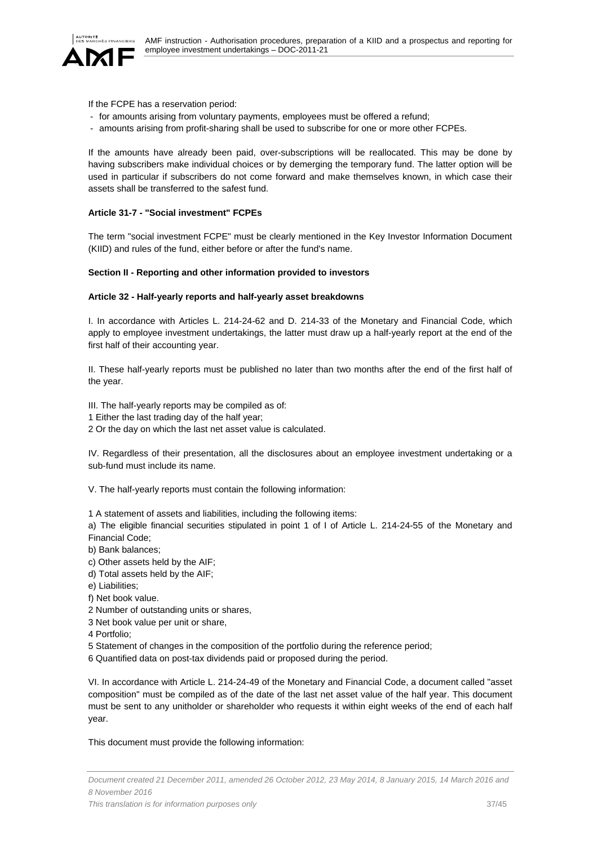

If the FCPE has a reservation period:

- for amounts arising from voluntary payments, employees must be offered a refund;
- amounts arising from profit-sharing shall be used to subscribe for one or more other FCPEs.

If the amounts have already been paid, over-subscriptions will be reallocated. This may be done by having subscribers make individual choices or by demerging the temporary fund. The latter option will be used in particular if subscribers do not come forward and make themselves known, in which case their assets shall be transferred to the safest fund.

### **Article 31-7 - "Social investment" FCPEs**

The term "social investment FCPE" must be clearly mentioned in the Key Investor Information Document (KIID) and rules of the fund, either before or after the fund's name.

### **Section II - Reporting and other information provided to investors**

### **Article 32 - Half-yearly reports and half-yearly asset breakdowns**

I. In accordance with Articles L. 214-24-62 and D. 214-33 of the Monetary and Financial Code, which apply to employee investment undertakings, the latter must draw up a half-yearly report at the end of the first half of their accounting year.

II. These half-yearly reports must be published no later than two months after the end of the first half of the year.

III. The half-yearly reports may be compiled as of:

- 1 Either the last trading day of the half year;
- 2 Or the day on which the last net asset value is calculated.

IV. Regardless of their presentation, all the disclosures about an employee investment undertaking or a sub-fund must include its name.

V. The half-yearly reports must contain the following information:

1 A statement of assets and liabilities, including the following items:

a) The eligible financial securities stipulated in point 1 of I of Article L. 214-24-55 of the Monetary and Financial Code;

- b) Bank balances;
- c) Other assets held by the AIF;
- d) Total assets held by the AIF;
- e) Liabilities;
- f) Net book value.
- 2 Number of outstanding units or shares,
- 3 Net book value per unit or share,
- 4 Portfolio;
- 5 Statement of changes in the composition of the portfolio during the reference period;
- 6 Quantified data on post-tax dividends paid or proposed during the period.

VI. In accordance with Article L. 214-24-49 of the Monetary and Financial Code, a document called "asset composition" must be compiled as of the date of the last net asset value of the half year. This document must be sent to any unitholder or shareholder who requests it within eight weeks of the end of each half year.

This document must provide the following information: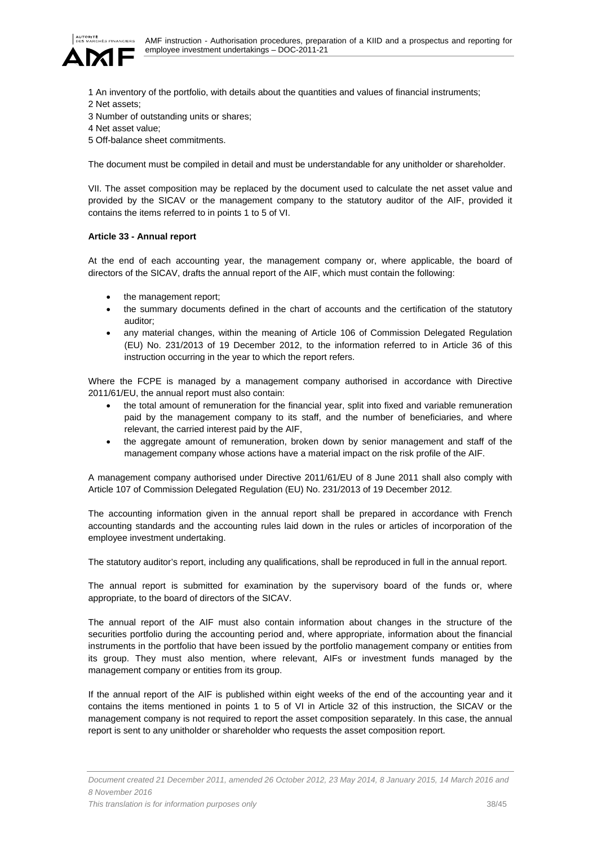

- 1 An inventory of the portfolio, with details about the quantities and values of financial instruments;
- 2 Net assets;
- 3 Number of outstanding units or shares;
- 4 Net asset value;
- 5 Off-balance sheet commitments.

The document must be compiled in detail and must be understandable for any unitholder or shareholder.

VII. The asset composition may be replaced by the document used to calculate the net asset value and provided by the SICAV or the management company to the statutory auditor of the AIF, provided it contains the items referred to in points 1 to 5 of VI.

# **Article 33 - Annual report**

At the end of each accounting year, the management company or, where applicable, the board of directors of the SICAV, drafts the annual report of the AIF, which must contain the following:

- the management report;
- the summary documents defined in the chart of accounts and the certification of the statutory auditor;
- any material changes, within the meaning of Article 106 of Commission Delegated Regulation (EU) No. 231/2013 of 19 December 2012, to the information referred to in Article 36 of this instruction occurring in the year to which the report refers.

Where the FCPE is managed by a management company authorised in accordance with Directive 2011/61/EU, the annual report must also contain:

- the total amount of remuneration for the financial year, split into fixed and variable remuneration paid by the management company to its staff, and the number of beneficiaries, and where relevant, the carried interest paid by the AIF,
- the aggregate amount of remuneration, broken down by senior management and staff of the management company whose actions have a material impact on the risk profile of the AIF.

A management company authorised under Directive 2011/61/EU of 8 June 2011 shall also comply with Article 107 of Commission Delegated Regulation (EU) No. 231/2013 of 19 December 2012.

The accounting information given in the annual report shall be prepared in accordance with French accounting standards and the accounting rules laid down in the rules or articles of incorporation of the employee investment undertaking.

The statutory auditor's report, including any qualifications, shall be reproduced in full in the annual report.

The annual report is submitted for examination by the supervisory board of the funds or, where appropriate, to the board of directors of the SICAV.

The annual report of the AIF must also contain information about changes in the structure of the securities portfolio during the accounting period and, where appropriate, information about the financial instruments in the portfolio that have been issued by the portfolio management company or entities from its group. They must also mention, where relevant, AIFs or investment funds managed by the management company or entities from its group.

If the annual report of the AIF is published within eight weeks of the end of the accounting year and it contains the items mentioned in points 1 to 5 of VI in Article 32 of this instruction, the SICAV or the management company is not required to report the asset composition separately. In this case, the annual report is sent to any unitholder or shareholder who requests the asset composition report.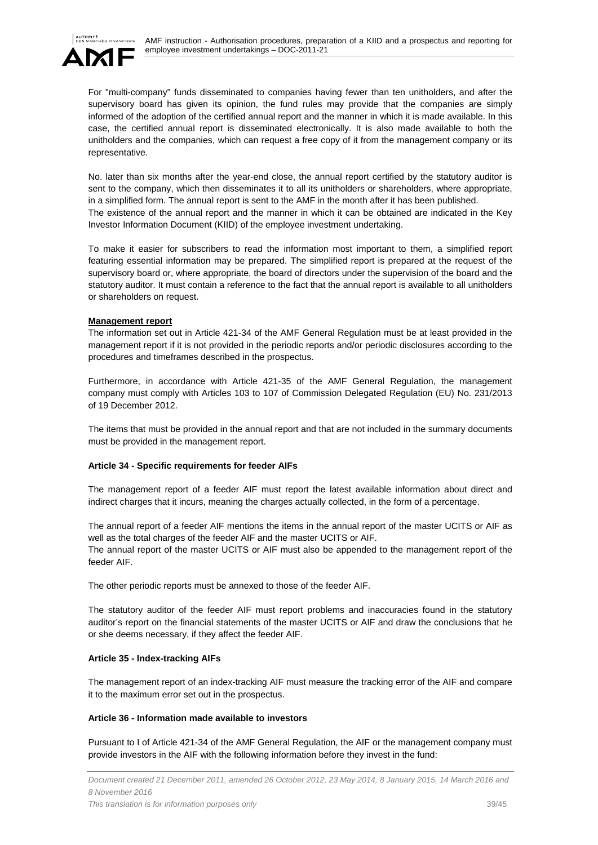

For "multi-company" funds disseminated to companies having fewer than ten unitholders, and after the supervisory board has given its opinion, the fund rules may provide that the companies are simply informed of the adoption of the certified annual report and the manner in which it is made available. In this case, the certified annual report is disseminated electronically. It is also made available to both the unitholders and the companies, which can request a free copy of it from the management company or its representative.

No. later than six months after the year-end close, the annual report certified by the statutory auditor is sent to the company, which then disseminates it to all its unitholders or shareholders, where appropriate, in a simplified form. The annual report is sent to the AMF in the month after it has been published. The existence of the annual report and the manner in which it can be obtained are indicated in the Key Investor Information Document (KIID) of the employee investment undertaking.

To make it easier for subscribers to read the information most important to them, a simplified report featuring essential information may be prepared. The simplified report is prepared at the request of the supervisory board or, where appropriate, the board of directors under the supervision of the board and the statutory auditor. It must contain a reference to the fact that the annual report is available to all unitholders or shareholders on request.

# **Management report**

The information set out in Article 421-34 of the AMF General Regulation must be at least provided in the management report if it is not provided in the periodic reports and/or periodic disclosures according to the procedures and timeframes described in the prospectus.

Furthermore, in accordance with Article 421-35 of the AMF General Regulation, the management company must comply with Articles 103 to 107 of Commission Delegated Regulation (EU) No. 231/2013 of 19 December 2012.

The items that must be provided in the annual report and that are not included in the summary documents must be provided in the management report.

# **Article 34 - Specific requirements for feeder AIFs**

The management report of a feeder AIF must report the latest available information about direct and indirect charges that it incurs, meaning the charges actually collected, in the form of a percentage.

The annual report of a feeder AIF mentions the items in the annual report of the master UCITS or AIF as well as the total charges of the feeder AIF and the master UCITS or AIF.

The annual report of the master UCITS or AIF must also be appended to the management report of the feeder AIF.

The other periodic reports must be annexed to those of the feeder AIF.

The statutory auditor of the feeder AIF must report problems and inaccuracies found in the statutory auditor's report on the financial statements of the master UCITS or AIF and draw the conclusions that he or she deems necessary, if they affect the feeder AIF.

# **Article 35 - Index-tracking AIFs**

The management report of an index-tracking AIF must measure the tracking error of the AIF and compare it to the maximum error set out in the prospectus.

# **Article 36 - Information made available to investors**

Pursuant to I of Article 421-34 of the AMF General Regulation, the AIF or the management company must provide investors in the AIF with the following information before they invest in the fund: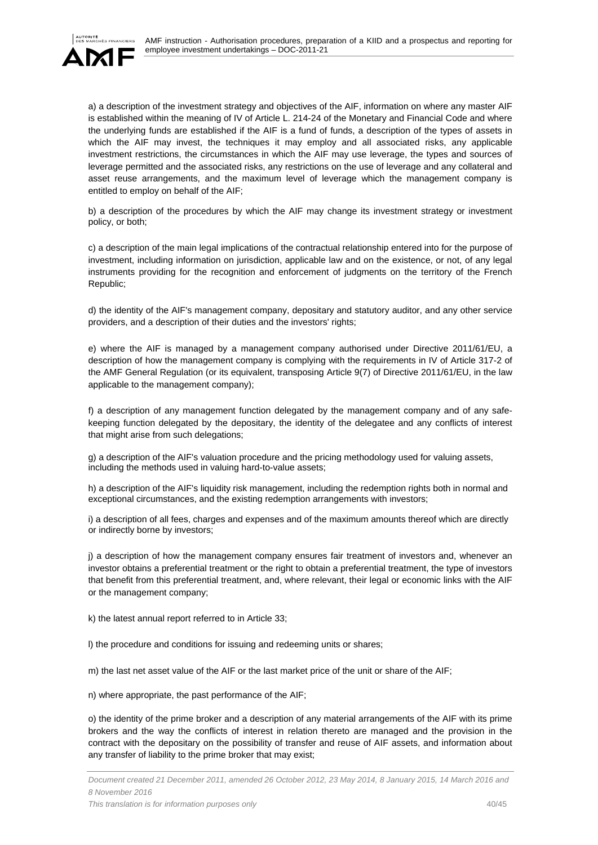

a) a description of the investment strategy and objectives of the AIF, information on where any master AIF is established within the meaning of IV of Article L. 214-24 of the Monetary and Financial Code and where the underlying funds are established if the AIF is a fund of funds, a description of the types of assets in which the AIF may invest, the techniques it may employ and all associated risks, any applicable investment restrictions, the circumstances in which the AIF may use leverage, the types and sources of leverage permitted and the associated risks, any restrictions on the use of leverage and any collateral and asset reuse arrangements, and the maximum level of leverage which the management company is entitled to employ on behalf of the AIF;

b) a description of the procedures by which the AIF may change its investment strategy or investment policy, or both;

c) a description of the main legal implications of the contractual relationship entered into for the purpose of investment, including information on jurisdiction, applicable law and on the existence, or not, of any legal instruments providing for the recognition and enforcement of judgments on the territory of the French Republic;

d) the identity of the AIF's management company, depositary and statutory auditor, and any other service providers, and a description of their duties and the investors' rights;

e) where the AIF is managed by a management company authorised under Directive 2011/61/EU, a description of how the management company is complying with the requirements in IV of Article 317-2 of the AMF General Regulation (or its equivalent, transposing Article 9(7) of Directive 2011/61/EU, in the law applicable to the management company);

f) a description of any management function delegated by the management company and of any safekeeping function delegated by the depositary, the identity of the delegatee and any conflicts of interest that might arise from such delegations;

g) a description of the AIF's valuation procedure and the pricing methodology used for valuing assets, including the methods used in valuing hard-to-value assets;

h) a description of the AIF's liquidity risk management, including the redemption rights both in normal and exceptional circumstances, and the existing redemption arrangements with investors;

i) a description of all fees, charges and expenses and of the maximum amounts thereof which are directly or indirectly borne by investors;

j) a description of how the management company ensures fair treatment of investors and, whenever an investor obtains a preferential treatment or the right to obtain a preferential treatment, the type of investors that benefit from this preferential treatment, and, where relevant, their legal or economic links with the AIF or the management company;

k) the latest annual report referred to in Article 33;

- l) the procedure and conditions for issuing and redeeming units or shares;
- m) the last net asset value of the AIF or the last market price of the unit or share of the AIF;
- n) where appropriate, the past performance of the AIF;

o) the identity of the prime broker and a description of any material arrangements of the AIF with its prime brokers and the way the conflicts of interest in relation thereto are managed and the provision in the contract with the depositary on the possibility of transfer and reuse of AIF assets, and information about any transfer of liability to the prime broker that may exist;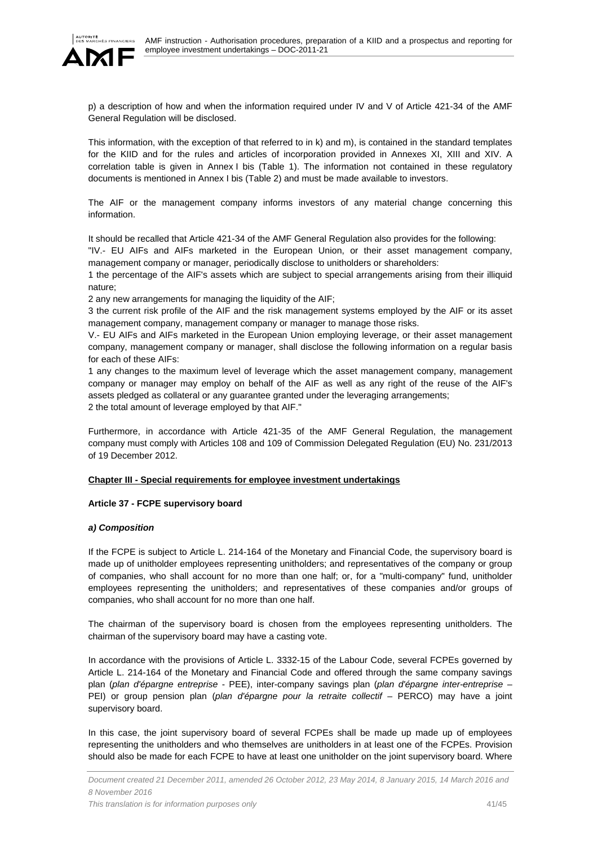

p) a description of how and when the information required under IV and V of Article 421-34 of the AMF General Regulation will be disclosed.

This information, with the exception of that referred to in k) and m), is contained in the standard templates for the KIID and for the rules and articles of incorporation provided in Annexes XI, XIII and XIV. A correlation table is given in Annex I bis (Table 1). The information not contained in these regulatory documents is mentioned in Annex I bis (Table 2) and must be made available to investors.

The AIF or the management company informs investors of any material change concerning this information.

It should be recalled that Article 421-34 of the AMF General Regulation also provides for the following:

"IV.- EU AIFs and AIFs marketed in the European Union, or their asset management company, management company or manager, periodically disclose to unitholders or shareholders:

1 the percentage of the AIF's assets which are subject to special arrangements arising from their illiquid nature;

2 any new arrangements for managing the liquidity of the AIF;

3 the current risk profile of the AIF and the risk management systems employed by the AIF or its asset management company, management company or manager to manage those risks.

V.- EU AIFs and AIFs marketed in the European Union employing leverage, or their asset management company, management company or manager, shall disclose the following information on a regular basis for each of these AIFs:

1 any changes to the maximum level of leverage which the asset management company, management company or manager may employ on behalf of the AIF as well as any right of the reuse of the AIF's assets pledged as collateral or any guarantee granted under the leveraging arrangements; 2 the total amount of leverage employed by that AIF."

Furthermore, in accordance with Article 421-35 of the AMF General Regulation, the management company must comply with Articles 108 and 109 of Commission Delegated Regulation (EU) No. 231/2013 of 19 December 2012.

# **Chapter III - Special requirements for employee investment undertakings**

# **Article 37 - FCPE supervisory board**

# *a) Composition*

If the FCPE is subject to Article L. 214-164 of the Monetary and Financial Code, the supervisory board is made up of unitholder employees representing unitholders; and representatives of the company or group of companies, who shall account for no more than one half; or, for a "multi-company" fund, unitholder employees representing the unitholders; and representatives of these companies and/or groups of companies, who shall account for no more than one half.

The chairman of the supervisory board is chosen from the employees representing unitholders. The chairman of the supervisory board may have a casting vote.

In accordance with the provisions of Article L. 3332-15 of the Labour Code, several FCPEs governed by Article L. 214-164 of the Monetary and Financial Code and offered through the same company savings plan (*plan d'épargne entreprise* - PEE), inter-company savings plan (*plan d'épargne inter-entreprise* – PEI) or group pension plan (*plan d'épargne pour la retraite collectif* – PERCO) may have a joint supervisory board.

In this case, the joint supervisory board of several FCPEs shall be made up made up of employees representing the unitholders and who themselves are unitholders in at least one of the FCPEs. Provision should also be made for each FCPE to have at least one unitholder on the joint supervisory board. Where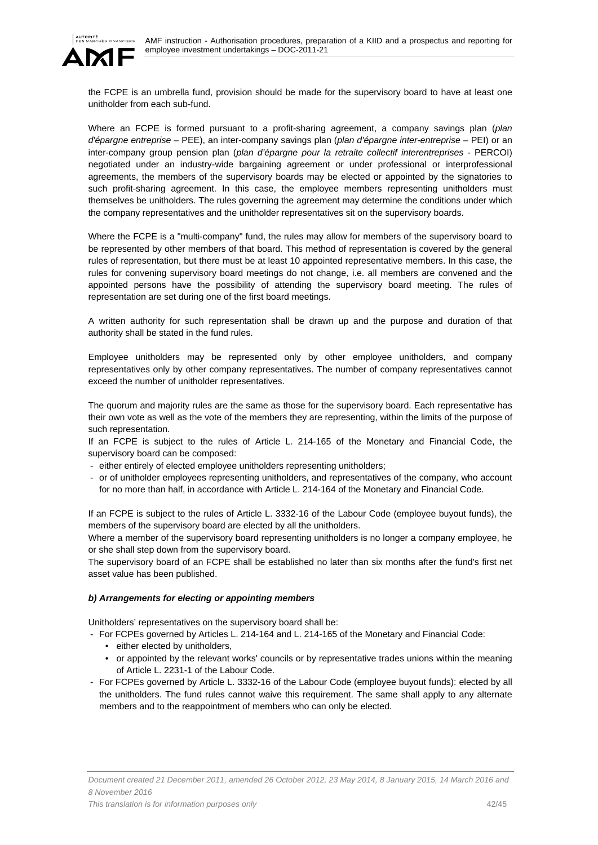

the FCPE is an umbrella fund, provision should be made for the supervisory board to have at least one unitholder from each sub-fund.

Where an FCPE is formed pursuant to a profit-sharing agreement, a company savings plan (*plan d'épargne entreprise* – PEE), an inter-company savings plan (*plan d'épargne inter-entreprise* – PEI) or an inter-company group pension plan (*plan d'épargne pour la retraite collectif interentreprises* - PERCOI) negotiated under an industry-wide bargaining agreement or under professional or interprofessional agreements, the members of the supervisory boards may be elected or appointed by the signatories to such profit-sharing agreement. In this case, the employee members representing unitholders must themselves be unitholders. The rules governing the agreement may determine the conditions under which the company representatives and the unitholder representatives sit on the supervisory boards.

Where the FCPE is a "multi-company" fund, the rules may allow for members of the supervisory board to be represented by other members of that board. This method of representation is covered by the general rules of representation, but there must be at least 10 appointed representative members. In this case, the rules for convening supervisory board meetings do not change, i.e. all members are convened and the appointed persons have the possibility of attending the supervisory board meeting. The rules of representation are set during one of the first board meetings.

A written authority for such representation shall be drawn up and the purpose and duration of that authority shall be stated in the fund rules.

Employee unitholders may be represented only by other employee unitholders, and company representatives only by other company representatives. The number of company representatives cannot exceed the number of unitholder representatives.

The quorum and majority rules are the same as those for the supervisory board. Each representative has their own vote as well as the vote of the members they are representing, within the limits of the purpose of such representation.

If an FCPE is subject to the rules of Article L. 214-165 of the Monetary and Financial Code, the supervisory board can be composed:

- either entirely of elected employee unitholders representing unitholders;
- or of unitholder employees representing unitholders, and representatives of the company, who account for no more than half, in accordance with Article L. 214-164 of the Monetary and Financial Code.

If an FCPE is subject to the rules of Article L. 3332-16 of the Labour Code (employee buyout funds), the members of the supervisory board are elected by all the unitholders.

Where a member of the supervisory board representing unitholders is no longer a company employee, he or she shall step down from the supervisory board.

The supervisory board of an FCPE shall be established no later than six months after the fund's first net asset value has been published.

# *b) Arrangements for electing or appointing members*

Unitholders' representatives on the supervisory board shall be:

- For FCPEs governed by Articles L. 214-164 and L. 214-165 of the Monetary and Financial Code:

- either elected by unitholders,
- or appointed by the relevant works' councils or by representative trades unions within the meaning of Article L. 2231-1 of the Labour Code.
- For FCPEs governed by Article L. 3332-16 of the Labour Code (employee buyout funds): elected by all the unitholders. The fund rules cannot waive this requirement. The same shall apply to any alternate members and to the reappointment of members who can only be elected.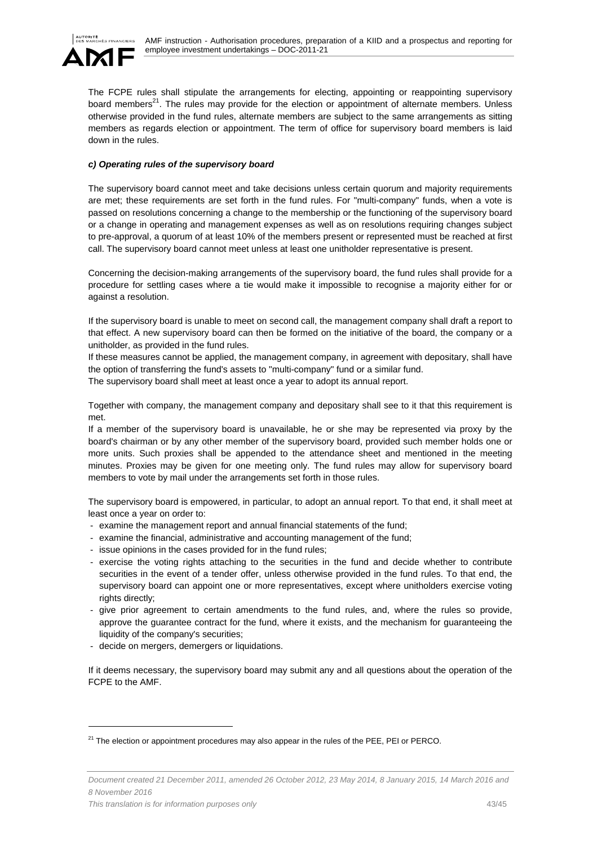

The FCPE rules shall stipulate the arrangements for electing, appointing or reappointing supervisory board members<sup>21</sup>. The rules may provide for the election or appointment of alternate members. Unless otherwise provided in the fund rules, alternate members are subject to the same arrangements as sitting members as regards election or appointment. The term of office for supervisory board members is laid down in the rules.

### *c) Operating rules of the supervisory board*

The supervisory board cannot meet and take decisions unless certain quorum and majority requirements are met; these requirements are set forth in the fund rules. For "multi-company" funds, when a vote is passed on resolutions concerning a change to the membership or the functioning of the supervisory board or a change in operating and management expenses as well as on resolutions requiring changes subject to pre-approval, a quorum of at least 10% of the members present or represented must be reached at first call. The supervisory board cannot meet unless at least one unitholder representative is present.

Concerning the decision-making arrangements of the supervisory board, the fund rules shall provide for a procedure for settling cases where a tie would make it impossible to recognise a majority either for or against a resolution.

If the supervisory board is unable to meet on second call, the management company shall draft a report to that effect. A new supervisory board can then be formed on the initiative of the board, the company or a unitholder, as provided in the fund rules.

If these measures cannot be applied, the management company, in agreement with depositary, shall have the option of transferring the fund's assets to "multi-company" fund or a similar fund. The supervisory board shall meet at least once a year to adopt its annual report.

Together with company, the management company and depositary shall see to it that this requirement is met.

If a member of the supervisory board is unavailable, he or she may be represented via proxy by the board's chairman or by any other member of the supervisory board, provided such member holds one or more units. Such proxies shall be appended to the attendance sheet and mentioned in the meeting minutes. Proxies may be given for one meeting only. The fund rules may allow for supervisory board members to vote by mail under the arrangements set forth in those rules.

The supervisory board is empowered, in particular, to adopt an annual report. To that end, it shall meet at least once a year on order to:

- examine the management report and annual financial statements of the fund;
- examine the financial, administrative and accounting management of the fund;
- issue opinions in the cases provided for in the fund rules;
- exercise the voting rights attaching to the securities in the fund and decide whether to contribute securities in the event of a tender offer, unless otherwise provided in the fund rules. To that end, the supervisory board can appoint one or more representatives, except where unitholders exercise voting rights directly;
- give prior agreement to certain amendments to the fund rules, and, where the rules so provide, approve the guarantee contract for the fund, where it exists, and the mechanism for guaranteeing the liquidity of the company's securities;
- decide on mergers, demergers or liquidations.

 $\overline{a}$ 

If it deems necessary, the supervisory board may submit any and all questions about the operation of the FCPE to the AMF.

 $21$  The election or appointment procedures may also appear in the rules of the PEE, PEI or PERCO.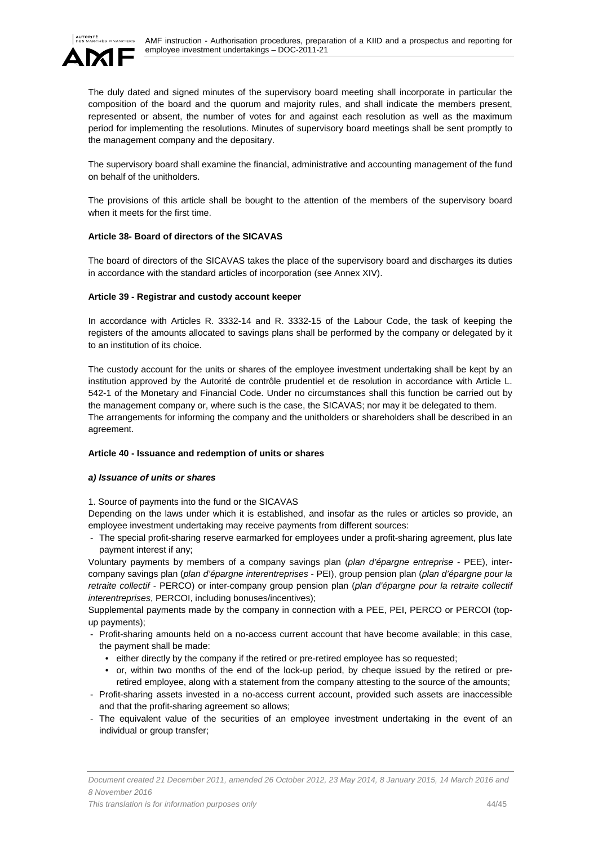

The duly dated and signed minutes of the supervisory board meeting shall incorporate in particular the composition of the board and the quorum and majority rules, and shall indicate the members present, represented or absent, the number of votes for and against each resolution as well as the maximum period for implementing the resolutions. Minutes of supervisory board meetings shall be sent promptly to the management company and the depositary.

The supervisory board shall examine the financial, administrative and accounting management of the fund on behalf of the unitholders.

The provisions of this article shall be bought to the attention of the members of the supervisory board when it meets for the first time.

### **Article 38- Board of directors of the SICAVAS**

The board of directors of the SICAVAS takes the place of the supervisory board and discharges its duties in accordance with the standard articles of incorporation (see Annex XIV).

### **Article 39 - Registrar and custody account keeper**

In accordance with Articles R. 3332-14 and R. 3332-15 of the Labour Code, the task of keeping the registers of the amounts allocated to savings plans shall be performed by the company or delegated by it to an institution of its choice.

The custody account for the units or shares of the employee investment undertaking shall be kept by an institution approved by the Autorité de contrôle prudentiel et de resolution in accordance with Article L. 542-1 of the Monetary and Financial Code. Under no circumstances shall this function be carried out by the management company or, where such is the case, the SICAVAS; nor may it be delegated to them. The arrangements for informing the company and the unitholders or shareholders shall be described in an agreement.

### **Article 40 - Issuance and redemption of units or shares**

### *a) Issuance of units or shares*

1. Source of payments into the fund or the SICAVAS

Depending on the laws under which it is established, and insofar as the rules or articles so provide, an employee investment undertaking may receive payments from different sources:

- The special profit-sharing reserve earmarked for employees under a profit-sharing agreement, plus late payment interest if any;

Voluntary payments by members of a company savings plan (*plan d'épargne entreprise* - PEE), intercompany savings plan (*plan d'épargne interentreprises* - PEI), group pension plan (*plan d'épargne pour la retraite collectif* - PERCO) or inter-company group pension plan (*plan d'épargne pour la retraite collectif interentreprises*, PERCOI, including bonuses/incentives);

Supplemental payments made by the company in connection with a PEE, PEI, PERCO or PERCOI (topup payments);

- Profit-sharing amounts held on a no-access current account that have become available; in this case, the payment shall be made:
	- either directly by the company if the retired or pre-retired employee has so requested;
	- or, within two months of the end of the lock-up period, by cheque issued by the retired or preretired employee, along with a statement from the company attesting to the source of the amounts;
- Profit-sharing assets invested in a no-access current account, provided such assets are inaccessible and that the profit-sharing agreement so allows;
- The equivalent value of the securities of an employee investment undertaking in the event of an individual or group transfer;